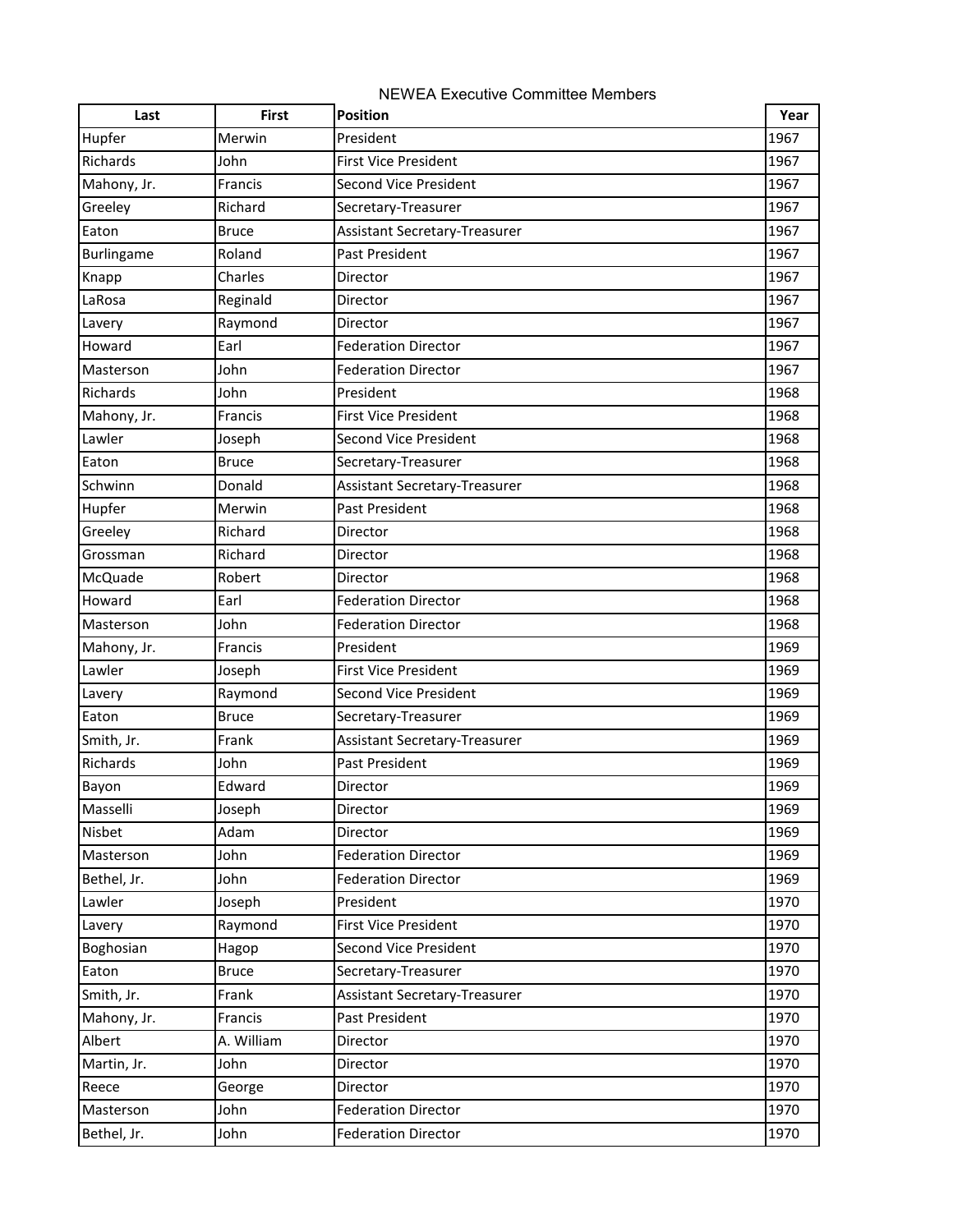| Last              | <b>First</b> | <b>Position</b>               | Year |
|-------------------|--------------|-------------------------------|------|
| Hupfer            | Merwin       | President                     | 1967 |
| Richards          | John         | <b>First Vice President</b>   | 1967 |
| Mahony, Jr.       | Francis      | <b>Second Vice President</b>  | 1967 |
| Greeley           | Richard      | Secretary-Treasurer           | 1967 |
| Eaton             | <b>Bruce</b> | Assistant Secretary-Treasurer | 1967 |
| <b>Burlingame</b> | Roland       | Past President                | 1967 |
| Knapp             | Charles      | Director                      | 1967 |
| LaRosa            | Reginald     | Director                      | 1967 |
| Lavery            | Raymond      | Director                      | 1967 |
| Howard            | Earl         | <b>Federation Director</b>    | 1967 |
| Masterson         | John         | <b>Federation Director</b>    | 1967 |
| Richards          | John         | President                     | 1968 |
| Mahony, Jr.       | Francis      | <b>First Vice President</b>   | 1968 |
| Lawler            | Joseph       | <b>Second Vice President</b>  | 1968 |
| Eaton             | <b>Bruce</b> | Secretary-Treasurer           | 1968 |
| Schwinn           | Donald       | Assistant Secretary-Treasurer | 1968 |
| Hupfer            | Merwin       | Past President                | 1968 |
| Greeley           | Richard      | Director                      | 1968 |
| Grossman          | Richard      | Director                      | 1968 |
| McQuade           | Robert       | Director                      | 1968 |
| Howard            | Earl         | <b>Federation Director</b>    | 1968 |
| Masterson         | John         | <b>Federation Director</b>    | 1968 |
| Mahony, Jr.       | Francis      | President                     | 1969 |
| Lawler            | Joseph       | <b>First Vice President</b>   | 1969 |
| Lavery            | Raymond      | <b>Second Vice President</b>  | 1969 |
| Eaton             | <b>Bruce</b> | Secretary-Treasurer           | 1969 |
| Smith, Jr.        | Frank        | Assistant Secretary-Treasurer | 1969 |
| Richards          | John         | Past President                | 1969 |
| Bayon             | Edward       | Director                      | 1969 |
| Masselli          | Joseph       | Director                      | 1969 |
| Nisbet            | Adam         | Director                      | 1969 |
| Masterson         | John         | <b>Federation Director</b>    | 1969 |
| Bethel, Jr.       | John         | <b>Federation Director</b>    | 1969 |
| Lawler            | Joseph       | President                     | 1970 |
| Lavery            | Raymond      | <b>First Vice President</b>   | 1970 |
| Boghosian         | Hagop        | Second Vice President         | 1970 |
| Eaton             | <b>Bruce</b> | Secretary-Treasurer           | 1970 |
| Smith, Jr.        | Frank        | Assistant Secretary-Treasurer | 1970 |
| Mahony, Jr.       | Francis      | Past President                | 1970 |
| Albert            | A. William   | Director                      | 1970 |
| Martin, Jr.       | John         | Director                      | 1970 |
| Reece             | George       | Director                      | 1970 |
| Masterson         | John         | <b>Federation Director</b>    | 1970 |
| Bethel, Jr.       | John         | <b>Federation Director</b>    | 1970 |

## NEWEA Executive Committee Members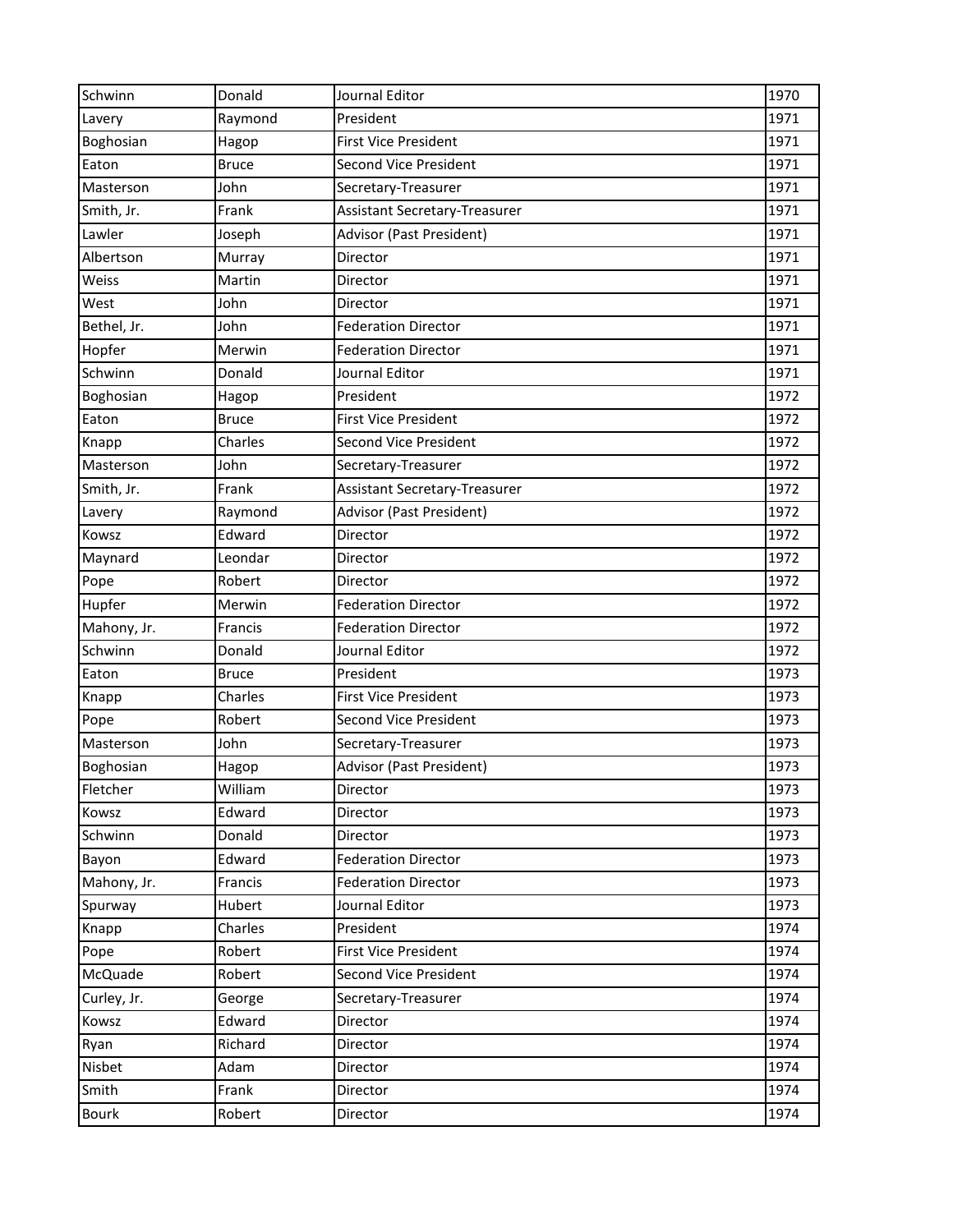| Schwinn      | Donald       | Journal Editor                       | 1970 |
|--------------|--------------|--------------------------------------|------|
| Lavery       | Raymond      | President                            | 1971 |
| Boghosian    | Hagop        | <b>First Vice President</b>          | 1971 |
| Eaton        | <b>Bruce</b> | Second Vice President                | 1971 |
| Masterson    | John         | Secretary-Treasurer                  | 1971 |
| Smith, Jr.   | Frank        | Assistant Secretary-Treasurer        | 1971 |
| Lawler       | Joseph       | <b>Advisor (Past President)</b>      | 1971 |
| Albertson    | Murray       | Director                             | 1971 |
| Weiss        | Martin       | Director                             | 1971 |
| West         | John         | Director                             | 1971 |
| Bethel, Jr.  | John         | <b>Federation Director</b>           | 1971 |
| Hopfer       | Merwin       | <b>Federation Director</b>           | 1971 |
| Schwinn      | Donald       | Journal Editor                       | 1971 |
| Boghosian    | Hagop        | President                            | 1972 |
| Eaton        | <b>Bruce</b> | <b>First Vice President</b>          | 1972 |
| Knapp        | Charles      | Second Vice President                | 1972 |
| Masterson    | John         | Secretary-Treasurer                  | 1972 |
| Smith, Jr.   | Frank        | <b>Assistant Secretary-Treasurer</b> | 1972 |
| Lavery       | Raymond      | Advisor (Past President)             | 1972 |
| Kowsz        | Edward       | Director                             | 1972 |
| Maynard      | Leondar      | Director                             | 1972 |
| Pope         | Robert       | Director                             | 1972 |
| Hupfer       | Merwin       | <b>Federation Director</b>           | 1972 |
| Mahony, Jr.  | Francis      | <b>Federation Director</b>           | 1972 |
| Schwinn      | Donald       | Journal Editor                       | 1972 |
| Eaton        | <b>Bruce</b> | President                            | 1973 |
| Knapp        | Charles      | <b>First Vice President</b>          | 1973 |
| Pope         | Robert       | <b>Second Vice President</b>         | 1973 |
| Masterson    | John         | Secretary-Treasurer                  | 1973 |
| Boghosian    | Hagop        | Advisor (Past President)             | 1973 |
| Fletcher     | William      | Director                             | 1973 |
| Kowsz        | Edward       | Director                             | 1973 |
| Schwinn      | Donald       | Director                             | 1973 |
| Bayon        | Edward       | <b>Federation Director</b>           | 1973 |
| Mahony, Jr.  | Francis      | <b>Federation Director</b>           | 1973 |
| Spurway      | Hubert       | Journal Editor                       | 1973 |
| Knapp        | Charles      | President                            | 1974 |
| Pope         | Robert       | <b>First Vice President</b>          | 1974 |
| McQuade      | Robert       | <b>Second Vice President</b>         | 1974 |
| Curley, Jr.  | George       | Secretary-Treasurer                  | 1974 |
| Kowsz        | Edward       | Director                             | 1974 |
| Ryan         | Richard      | Director                             | 1974 |
| Nisbet       | Adam         | Director                             | 1974 |
| Smith        | Frank        | Director                             | 1974 |
| <b>Bourk</b> | Robert       | Director                             | 1974 |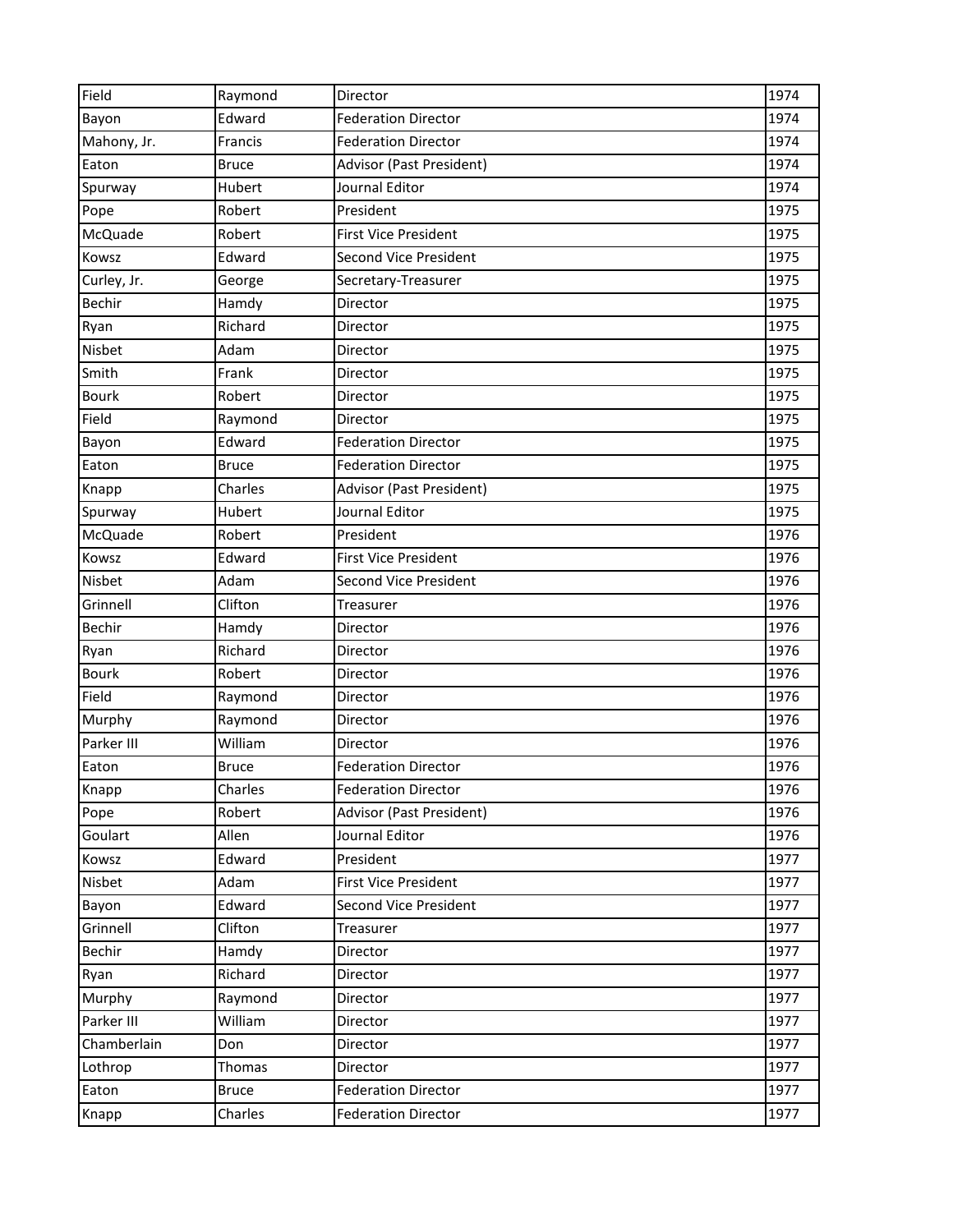| Field        | Raymond      | Director                     | 1974 |
|--------------|--------------|------------------------------|------|
| Bayon        | Edward       | <b>Federation Director</b>   | 1974 |
| Mahony, Jr.  | Francis      | <b>Federation Director</b>   | 1974 |
| Eaton        | <b>Bruce</b> | Advisor (Past President)     | 1974 |
| Spurway      | Hubert       | Journal Editor               | 1974 |
| Pope         | Robert       | President                    | 1975 |
| McQuade      | Robert       | <b>First Vice President</b>  | 1975 |
| Kowsz        | Edward       | Second Vice President        | 1975 |
| Curley, Jr.  | George       | Secretary-Treasurer          | 1975 |
| Bechir       | Hamdy        | Director                     | 1975 |
| Ryan         | Richard      | Director                     | 1975 |
| Nisbet       | Adam         | Director                     | 1975 |
| Smith        | Frank        | Director                     | 1975 |
| <b>Bourk</b> | Robert       | Director                     | 1975 |
| Field        | Raymond      | Director                     | 1975 |
| Bayon        | Edward       | <b>Federation Director</b>   | 1975 |
| Eaton        | <b>Bruce</b> | <b>Federation Director</b>   | 1975 |
| Knapp        | Charles      | Advisor (Past President)     | 1975 |
| Spurway      | Hubert       | Journal Editor               | 1975 |
| McQuade      | Robert       | President                    | 1976 |
| Kowsz        | Edward       | <b>First Vice President</b>  | 1976 |
| Nisbet       | Adam         | <b>Second Vice President</b> | 1976 |
| Grinnell     | Clifton      | Treasurer                    | 1976 |
| Bechir       | Hamdy        | Director                     | 1976 |
| Ryan         | Richard      | Director                     | 1976 |
| <b>Bourk</b> | Robert       | Director                     | 1976 |
| Field        | Raymond      | Director                     | 1976 |
| Murphy       | Raymond      | Director                     | 1976 |
| Parker III   | William      | Director                     | 1976 |
| Eaton        | <b>Bruce</b> | <b>Federation Director</b>   | 1976 |
| Knapp        | Charles      | <b>Federation Director</b>   | 1976 |
| Pope         | Robert       | Advisor (Past President)     | 1976 |
| Goulart      | Allen        | Journal Editor               | 1976 |
| Kowsz        | Edward       | President                    | 1977 |
| Nisbet       | Adam         | <b>First Vice President</b>  | 1977 |
| Bayon        | Edward       | <b>Second Vice President</b> | 1977 |
| Grinnell     | Clifton      | Treasurer                    | 1977 |
| Bechir       | Hamdy        | Director                     | 1977 |
| Ryan         | Richard      | Director                     | 1977 |
| Murphy       | Raymond      | Director                     | 1977 |
| Parker III   | William      | Director                     | 1977 |
| Chamberlain  | Don          | Director                     | 1977 |
| Lothrop      | Thomas       | Director                     | 1977 |
| Eaton        | <b>Bruce</b> | <b>Federation Director</b>   | 1977 |
| Knapp        | Charles      | <b>Federation Director</b>   | 1977 |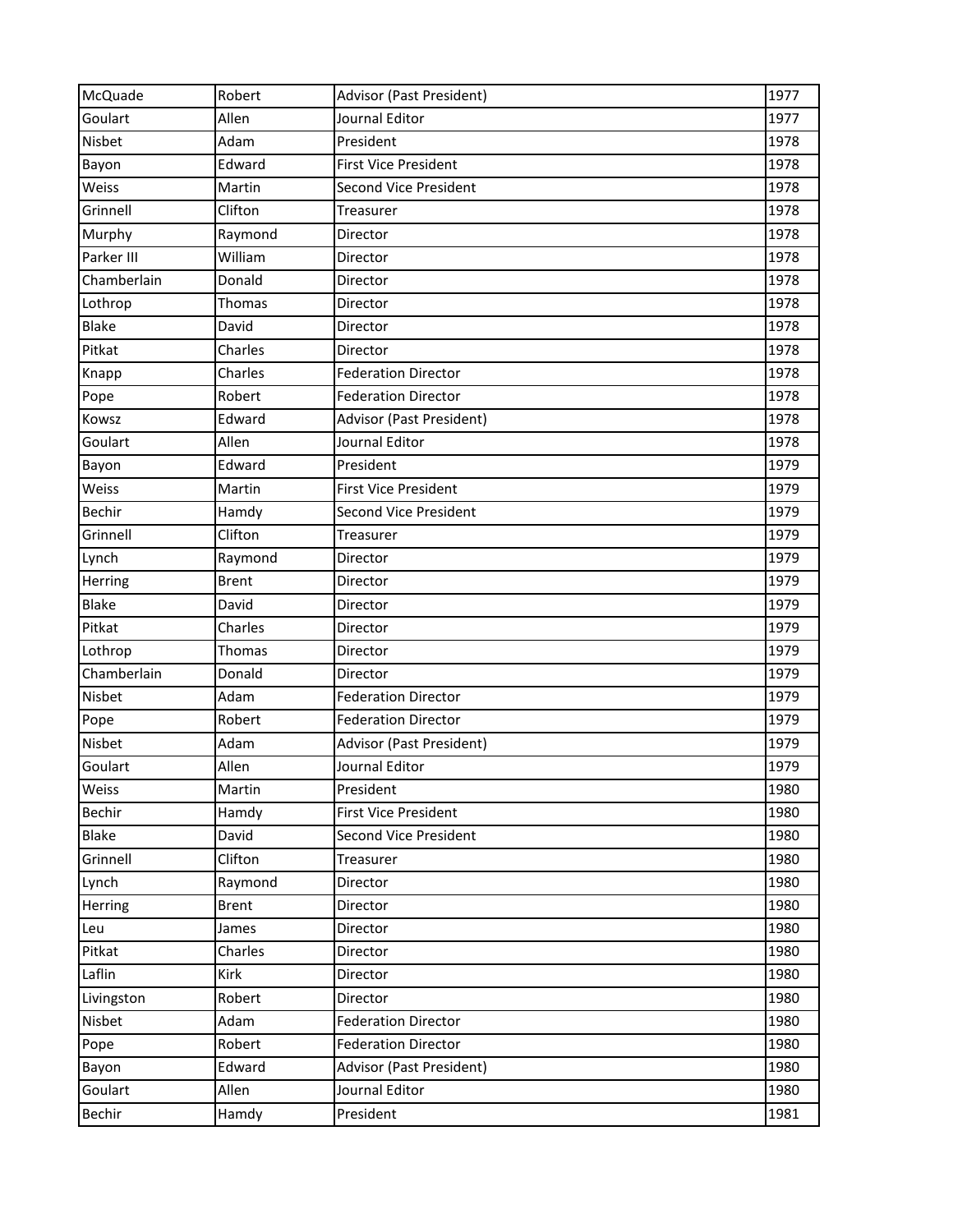| McQuade       | Robert       | Advisor (Past President)     | 1977 |
|---------------|--------------|------------------------------|------|
| Goulart       | Allen        | Journal Editor               | 1977 |
| Nisbet        | Adam         | President                    | 1978 |
| Bayon         | Edward       | <b>First Vice President</b>  | 1978 |
| Weiss         | Martin       | <b>Second Vice President</b> | 1978 |
| Grinnell      | Clifton      | Treasurer                    | 1978 |
| Murphy        | Raymond      | Director                     | 1978 |
| Parker III    | William      | Director                     | 1978 |
| Chamberlain   | Donald       | Director                     | 1978 |
| Lothrop       | Thomas       | Director                     | 1978 |
| <b>Blake</b>  | David        | Director                     | 1978 |
| Pitkat        | Charles      | Director                     | 1978 |
| Knapp         | Charles      | <b>Federation Director</b>   | 1978 |
| Pope          | Robert       | <b>Federation Director</b>   | 1978 |
| Kowsz         | Edward       | Advisor (Past President)     | 1978 |
| Goulart       | Allen        | Journal Editor               | 1978 |
| Bayon         | Edward       | President                    | 1979 |
| Weiss         | Martin       | <b>First Vice President</b>  | 1979 |
| Bechir        | Hamdy        | <b>Second Vice President</b> | 1979 |
| Grinnell      | Clifton      | Treasurer                    | 1979 |
| Lynch         | Raymond      | Director                     | 1979 |
| Herring       | <b>Brent</b> | Director                     | 1979 |
| <b>Blake</b>  | David        | Director                     | 1979 |
| Pitkat        | Charles      | Director                     | 1979 |
| Lothrop       | Thomas       | Director                     | 1979 |
| Chamberlain   | Donald       | Director                     | 1979 |
| <b>Nisbet</b> | Adam         | <b>Federation Director</b>   | 1979 |
| Pope          | Robert       | <b>Federation Director</b>   | 1979 |
| Nisbet        | Adam         | Advisor (Past President)     | 1979 |
| Goulart       | Allen        | Journal Editor               | 1979 |
| Weiss         | Martin       | President                    | 1980 |
| Bechir        | Hamdy        | <b>First Vice President</b>  | 1980 |
| Blake         | David        | <b>Second Vice President</b> | 1980 |
| Grinnell      | Clifton      | Treasurer                    | 1980 |
| Lynch         | Raymond      | Director                     | 1980 |
| Herring       | <b>Brent</b> | Director                     | 1980 |
| Leu           | James        | Director                     | 1980 |
| Pitkat        | Charles      | Director                     | 1980 |
| Laflin        | Kirk         | Director                     | 1980 |
| Livingston    | Robert       | Director                     | 1980 |
| Nisbet        | Adam         | <b>Federation Director</b>   | 1980 |
| Pope          | Robert       | <b>Federation Director</b>   | 1980 |
| Bayon         | Edward       | Advisor (Past President)     | 1980 |
| Goulart       | Allen        | Journal Editor               | 1980 |
| Bechir        | Hamdy        | President                    | 1981 |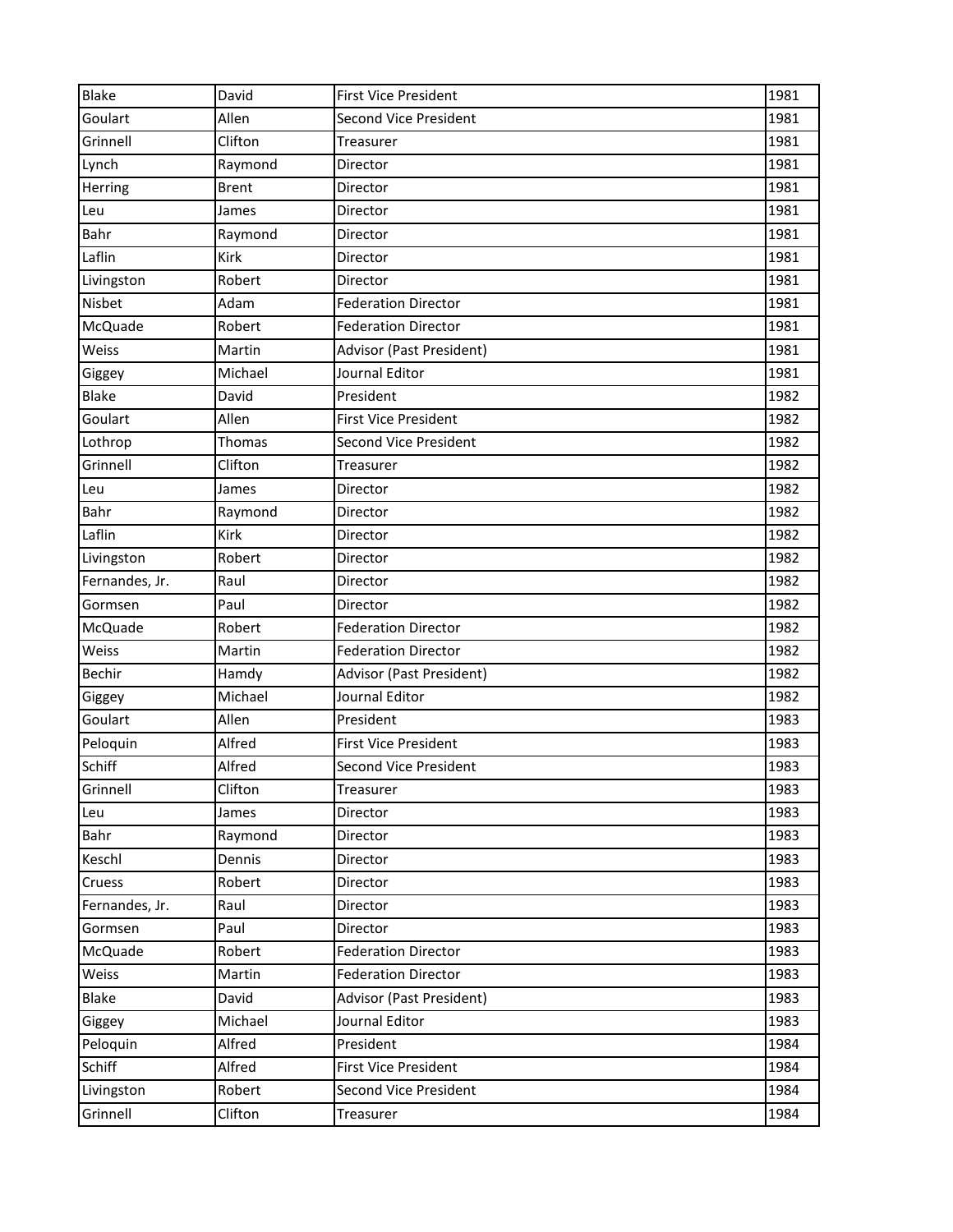| Second Vice President<br>1981<br>Goulart<br>Allen<br>Grinnell<br>Clifton<br>1981<br>Treasurer<br>1981<br>Lynch<br>Raymond<br>Director<br><b>Brent</b><br>Director<br>1981<br>Herring<br>1981<br>Leu<br>James<br>Director<br>Bahr<br>Raymond<br>Director<br>1981<br>Laflin<br>Kirk<br>1981<br>Director<br>Robert<br>Director<br>1981<br>Livingston<br>Nisbet<br>1981<br>Adam<br><b>Federation Director</b><br>McQuade<br>Robert<br><b>Federation Director</b><br>1981<br>Weiss<br>Advisor (Past President)<br>1981<br>Martin<br>Journal Editor<br>1981<br>Michael<br>Giggey<br><b>Blake</b><br>David<br>President<br>1982<br>Goulart<br>1982<br>Allen<br><b>First Vice President</b><br><b>Second Vice President</b><br>1982<br>Lothrop<br><b>Thomas</b><br>Grinnell<br>Clifton<br>1982<br>Treasurer<br>1982<br>Director<br>Leu<br>James<br>1982<br>Bahr<br>Raymond<br>Director<br>Laflin<br>1982<br>Kirk<br>Director<br>1982<br>Robert<br>Director<br>Livingston<br>Fernandes, Jr.<br>1982<br>Raul<br>Director<br>1982<br>Paul<br>Gormsen<br>Director<br>McQuade<br>Robert<br>1982<br><b>Federation Director</b><br>Weiss<br>1982<br>Martin<br><b>Federation Director</b><br>Bechir<br>Advisor (Past President)<br>1982<br>Hamdy<br>Michael<br>Journal Editor<br>1982<br>Giggey<br>Goulart<br>1983<br>Allen<br>President<br>Peloquin<br>1983<br>Alfred<br><b>First Vice President</b><br>Schiff<br>1983<br>Alfred<br><b>Second Vice President</b><br>Grinnell<br>Clifton<br>1983<br>Treasurer<br>1983<br>Director<br>Leu<br>James<br>1983<br>Bahr<br>Raymond<br>Director<br>Keschl<br>Director<br>1983<br>Dennis<br>Robert<br>1983<br>Cruess<br>Director<br>Raul<br>Director<br>1983<br>Fernandes, Jr.<br>Paul<br>1983<br>Gormsen<br>Director<br>1983<br>McQuade<br>Robert<br><b>Federation Director</b><br>Weiss<br><b>Federation Director</b><br>1983<br>Martin<br><b>Blake</b><br>David<br>Advisor (Past President)<br>1983<br>Michael<br>Journal Editor<br>1983<br>Giggey<br>1984<br>Alfred<br>President<br>Peloquin<br>Schiff<br>Alfred<br><b>First Vice President</b><br>1984<br>Robert<br><b>Second Vice President</b><br>1984<br>Livingston | <b>Blake</b> | David   | <b>First Vice President</b> | 1981 |
|-----------------------------------------------------------------------------------------------------------------------------------------------------------------------------------------------------------------------------------------------------------------------------------------------------------------------------------------------------------------------------------------------------------------------------------------------------------------------------------------------------------------------------------------------------------------------------------------------------------------------------------------------------------------------------------------------------------------------------------------------------------------------------------------------------------------------------------------------------------------------------------------------------------------------------------------------------------------------------------------------------------------------------------------------------------------------------------------------------------------------------------------------------------------------------------------------------------------------------------------------------------------------------------------------------------------------------------------------------------------------------------------------------------------------------------------------------------------------------------------------------------------------------------------------------------------------------------------------------------------------------------------------------------------------------------------------------------------------------------------------------------------------------------------------------------------------------------------------------------------------------------------------------------------------------------------------------------------------------------------------------------------------------------------------------------------------------------------------------------------------------------------------------|--------------|---------|-----------------------------|------|
|                                                                                                                                                                                                                                                                                                                                                                                                                                                                                                                                                                                                                                                                                                                                                                                                                                                                                                                                                                                                                                                                                                                                                                                                                                                                                                                                                                                                                                                                                                                                                                                                                                                                                                                                                                                                                                                                                                                                                                                                                                                                                                                                                     |              |         |                             |      |
|                                                                                                                                                                                                                                                                                                                                                                                                                                                                                                                                                                                                                                                                                                                                                                                                                                                                                                                                                                                                                                                                                                                                                                                                                                                                                                                                                                                                                                                                                                                                                                                                                                                                                                                                                                                                                                                                                                                                                                                                                                                                                                                                                     |              |         |                             |      |
|                                                                                                                                                                                                                                                                                                                                                                                                                                                                                                                                                                                                                                                                                                                                                                                                                                                                                                                                                                                                                                                                                                                                                                                                                                                                                                                                                                                                                                                                                                                                                                                                                                                                                                                                                                                                                                                                                                                                                                                                                                                                                                                                                     |              |         |                             |      |
|                                                                                                                                                                                                                                                                                                                                                                                                                                                                                                                                                                                                                                                                                                                                                                                                                                                                                                                                                                                                                                                                                                                                                                                                                                                                                                                                                                                                                                                                                                                                                                                                                                                                                                                                                                                                                                                                                                                                                                                                                                                                                                                                                     |              |         |                             |      |
|                                                                                                                                                                                                                                                                                                                                                                                                                                                                                                                                                                                                                                                                                                                                                                                                                                                                                                                                                                                                                                                                                                                                                                                                                                                                                                                                                                                                                                                                                                                                                                                                                                                                                                                                                                                                                                                                                                                                                                                                                                                                                                                                                     |              |         |                             |      |
|                                                                                                                                                                                                                                                                                                                                                                                                                                                                                                                                                                                                                                                                                                                                                                                                                                                                                                                                                                                                                                                                                                                                                                                                                                                                                                                                                                                                                                                                                                                                                                                                                                                                                                                                                                                                                                                                                                                                                                                                                                                                                                                                                     |              |         |                             |      |
|                                                                                                                                                                                                                                                                                                                                                                                                                                                                                                                                                                                                                                                                                                                                                                                                                                                                                                                                                                                                                                                                                                                                                                                                                                                                                                                                                                                                                                                                                                                                                                                                                                                                                                                                                                                                                                                                                                                                                                                                                                                                                                                                                     |              |         |                             |      |
|                                                                                                                                                                                                                                                                                                                                                                                                                                                                                                                                                                                                                                                                                                                                                                                                                                                                                                                                                                                                                                                                                                                                                                                                                                                                                                                                                                                                                                                                                                                                                                                                                                                                                                                                                                                                                                                                                                                                                                                                                                                                                                                                                     |              |         |                             |      |
|                                                                                                                                                                                                                                                                                                                                                                                                                                                                                                                                                                                                                                                                                                                                                                                                                                                                                                                                                                                                                                                                                                                                                                                                                                                                                                                                                                                                                                                                                                                                                                                                                                                                                                                                                                                                                                                                                                                                                                                                                                                                                                                                                     |              |         |                             |      |
|                                                                                                                                                                                                                                                                                                                                                                                                                                                                                                                                                                                                                                                                                                                                                                                                                                                                                                                                                                                                                                                                                                                                                                                                                                                                                                                                                                                                                                                                                                                                                                                                                                                                                                                                                                                                                                                                                                                                                                                                                                                                                                                                                     |              |         |                             |      |
|                                                                                                                                                                                                                                                                                                                                                                                                                                                                                                                                                                                                                                                                                                                                                                                                                                                                                                                                                                                                                                                                                                                                                                                                                                                                                                                                                                                                                                                                                                                                                                                                                                                                                                                                                                                                                                                                                                                                                                                                                                                                                                                                                     |              |         |                             |      |
|                                                                                                                                                                                                                                                                                                                                                                                                                                                                                                                                                                                                                                                                                                                                                                                                                                                                                                                                                                                                                                                                                                                                                                                                                                                                                                                                                                                                                                                                                                                                                                                                                                                                                                                                                                                                                                                                                                                                                                                                                                                                                                                                                     |              |         |                             |      |
|                                                                                                                                                                                                                                                                                                                                                                                                                                                                                                                                                                                                                                                                                                                                                                                                                                                                                                                                                                                                                                                                                                                                                                                                                                                                                                                                                                                                                                                                                                                                                                                                                                                                                                                                                                                                                                                                                                                                                                                                                                                                                                                                                     |              |         |                             |      |
|                                                                                                                                                                                                                                                                                                                                                                                                                                                                                                                                                                                                                                                                                                                                                                                                                                                                                                                                                                                                                                                                                                                                                                                                                                                                                                                                                                                                                                                                                                                                                                                                                                                                                                                                                                                                                                                                                                                                                                                                                                                                                                                                                     |              |         |                             |      |
|                                                                                                                                                                                                                                                                                                                                                                                                                                                                                                                                                                                                                                                                                                                                                                                                                                                                                                                                                                                                                                                                                                                                                                                                                                                                                                                                                                                                                                                                                                                                                                                                                                                                                                                                                                                                                                                                                                                                                                                                                                                                                                                                                     |              |         |                             |      |
|                                                                                                                                                                                                                                                                                                                                                                                                                                                                                                                                                                                                                                                                                                                                                                                                                                                                                                                                                                                                                                                                                                                                                                                                                                                                                                                                                                                                                                                                                                                                                                                                                                                                                                                                                                                                                                                                                                                                                                                                                                                                                                                                                     |              |         |                             |      |
|                                                                                                                                                                                                                                                                                                                                                                                                                                                                                                                                                                                                                                                                                                                                                                                                                                                                                                                                                                                                                                                                                                                                                                                                                                                                                                                                                                                                                                                                                                                                                                                                                                                                                                                                                                                                                                                                                                                                                                                                                                                                                                                                                     |              |         |                             |      |
|                                                                                                                                                                                                                                                                                                                                                                                                                                                                                                                                                                                                                                                                                                                                                                                                                                                                                                                                                                                                                                                                                                                                                                                                                                                                                                                                                                                                                                                                                                                                                                                                                                                                                                                                                                                                                                                                                                                                                                                                                                                                                                                                                     |              |         |                             |      |
|                                                                                                                                                                                                                                                                                                                                                                                                                                                                                                                                                                                                                                                                                                                                                                                                                                                                                                                                                                                                                                                                                                                                                                                                                                                                                                                                                                                                                                                                                                                                                                                                                                                                                                                                                                                                                                                                                                                                                                                                                                                                                                                                                     |              |         |                             |      |
|                                                                                                                                                                                                                                                                                                                                                                                                                                                                                                                                                                                                                                                                                                                                                                                                                                                                                                                                                                                                                                                                                                                                                                                                                                                                                                                                                                                                                                                                                                                                                                                                                                                                                                                                                                                                                                                                                                                                                                                                                                                                                                                                                     |              |         |                             |      |
|                                                                                                                                                                                                                                                                                                                                                                                                                                                                                                                                                                                                                                                                                                                                                                                                                                                                                                                                                                                                                                                                                                                                                                                                                                                                                                                                                                                                                                                                                                                                                                                                                                                                                                                                                                                                                                                                                                                                                                                                                                                                                                                                                     |              |         |                             |      |
|                                                                                                                                                                                                                                                                                                                                                                                                                                                                                                                                                                                                                                                                                                                                                                                                                                                                                                                                                                                                                                                                                                                                                                                                                                                                                                                                                                                                                                                                                                                                                                                                                                                                                                                                                                                                                                                                                                                                                                                                                                                                                                                                                     |              |         |                             |      |
|                                                                                                                                                                                                                                                                                                                                                                                                                                                                                                                                                                                                                                                                                                                                                                                                                                                                                                                                                                                                                                                                                                                                                                                                                                                                                                                                                                                                                                                                                                                                                                                                                                                                                                                                                                                                                                                                                                                                                                                                                                                                                                                                                     |              |         |                             |      |
|                                                                                                                                                                                                                                                                                                                                                                                                                                                                                                                                                                                                                                                                                                                                                                                                                                                                                                                                                                                                                                                                                                                                                                                                                                                                                                                                                                                                                                                                                                                                                                                                                                                                                                                                                                                                                                                                                                                                                                                                                                                                                                                                                     |              |         |                             |      |
|                                                                                                                                                                                                                                                                                                                                                                                                                                                                                                                                                                                                                                                                                                                                                                                                                                                                                                                                                                                                                                                                                                                                                                                                                                                                                                                                                                                                                                                                                                                                                                                                                                                                                                                                                                                                                                                                                                                                                                                                                                                                                                                                                     |              |         |                             |      |
|                                                                                                                                                                                                                                                                                                                                                                                                                                                                                                                                                                                                                                                                                                                                                                                                                                                                                                                                                                                                                                                                                                                                                                                                                                                                                                                                                                                                                                                                                                                                                                                                                                                                                                                                                                                                                                                                                                                                                                                                                                                                                                                                                     |              |         |                             |      |
|                                                                                                                                                                                                                                                                                                                                                                                                                                                                                                                                                                                                                                                                                                                                                                                                                                                                                                                                                                                                                                                                                                                                                                                                                                                                                                                                                                                                                                                                                                                                                                                                                                                                                                                                                                                                                                                                                                                                                                                                                                                                                                                                                     |              |         |                             |      |
|                                                                                                                                                                                                                                                                                                                                                                                                                                                                                                                                                                                                                                                                                                                                                                                                                                                                                                                                                                                                                                                                                                                                                                                                                                                                                                                                                                                                                                                                                                                                                                                                                                                                                                                                                                                                                                                                                                                                                                                                                                                                                                                                                     |              |         |                             |      |
|                                                                                                                                                                                                                                                                                                                                                                                                                                                                                                                                                                                                                                                                                                                                                                                                                                                                                                                                                                                                                                                                                                                                                                                                                                                                                                                                                                                                                                                                                                                                                                                                                                                                                                                                                                                                                                                                                                                                                                                                                                                                                                                                                     |              |         |                             |      |
|                                                                                                                                                                                                                                                                                                                                                                                                                                                                                                                                                                                                                                                                                                                                                                                                                                                                                                                                                                                                                                                                                                                                                                                                                                                                                                                                                                                                                                                                                                                                                                                                                                                                                                                                                                                                                                                                                                                                                                                                                                                                                                                                                     |              |         |                             |      |
|                                                                                                                                                                                                                                                                                                                                                                                                                                                                                                                                                                                                                                                                                                                                                                                                                                                                                                                                                                                                                                                                                                                                                                                                                                                                                                                                                                                                                                                                                                                                                                                                                                                                                                                                                                                                                                                                                                                                                                                                                                                                                                                                                     |              |         |                             |      |
|                                                                                                                                                                                                                                                                                                                                                                                                                                                                                                                                                                                                                                                                                                                                                                                                                                                                                                                                                                                                                                                                                                                                                                                                                                                                                                                                                                                                                                                                                                                                                                                                                                                                                                                                                                                                                                                                                                                                                                                                                                                                                                                                                     |              |         |                             |      |
|                                                                                                                                                                                                                                                                                                                                                                                                                                                                                                                                                                                                                                                                                                                                                                                                                                                                                                                                                                                                                                                                                                                                                                                                                                                                                                                                                                                                                                                                                                                                                                                                                                                                                                                                                                                                                                                                                                                                                                                                                                                                                                                                                     |              |         |                             |      |
|                                                                                                                                                                                                                                                                                                                                                                                                                                                                                                                                                                                                                                                                                                                                                                                                                                                                                                                                                                                                                                                                                                                                                                                                                                                                                                                                                                                                                                                                                                                                                                                                                                                                                                                                                                                                                                                                                                                                                                                                                                                                                                                                                     |              |         |                             |      |
|                                                                                                                                                                                                                                                                                                                                                                                                                                                                                                                                                                                                                                                                                                                                                                                                                                                                                                                                                                                                                                                                                                                                                                                                                                                                                                                                                                                                                                                                                                                                                                                                                                                                                                                                                                                                                                                                                                                                                                                                                                                                                                                                                     |              |         |                             |      |
|                                                                                                                                                                                                                                                                                                                                                                                                                                                                                                                                                                                                                                                                                                                                                                                                                                                                                                                                                                                                                                                                                                                                                                                                                                                                                                                                                                                                                                                                                                                                                                                                                                                                                                                                                                                                                                                                                                                                                                                                                                                                                                                                                     |              |         |                             |      |
|                                                                                                                                                                                                                                                                                                                                                                                                                                                                                                                                                                                                                                                                                                                                                                                                                                                                                                                                                                                                                                                                                                                                                                                                                                                                                                                                                                                                                                                                                                                                                                                                                                                                                                                                                                                                                                                                                                                                                                                                                                                                                                                                                     |              |         |                             |      |
|                                                                                                                                                                                                                                                                                                                                                                                                                                                                                                                                                                                                                                                                                                                                                                                                                                                                                                                                                                                                                                                                                                                                                                                                                                                                                                                                                                                                                                                                                                                                                                                                                                                                                                                                                                                                                                                                                                                                                                                                                                                                                                                                                     |              |         |                             |      |
|                                                                                                                                                                                                                                                                                                                                                                                                                                                                                                                                                                                                                                                                                                                                                                                                                                                                                                                                                                                                                                                                                                                                                                                                                                                                                                                                                                                                                                                                                                                                                                                                                                                                                                                                                                                                                                                                                                                                                                                                                                                                                                                                                     |              |         |                             |      |
|                                                                                                                                                                                                                                                                                                                                                                                                                                                                                                                                                                                                                                                                                                                                                                                                                                                                                                                                                                                                                                                                                                                                                                                                                                                                                                                                                                                                                                                                                                                                                                                                                                                                                                                                                                                                                                                                                                                                                                                                                                                                                                                                                     |              |         |                             |      |
|                                                                                                                                                                                                                                                                                                                                                                                                                                                                                                                                                                                                                                                                                                                                                                                                                                                                                                                                                                                                                                                                                                                                                                                                                                                                                                                                                                                                                                                                                                                                                                                                                                                                                                                                                                                                                                                                                                                                                                                                                                                                                                                                                     |              |         |                             |      |
|                                                                                                                                                                                                                                                                                                                                                                                                                                                                                                                                                                                                                                                                                                                                                                                                                                                                                                                                                                                                                                                                                                                                                                                                                                                                                                                                                                                                                                                                                                                                                                                                                                                                                                                                                                                                                                                                                                                                                                                                                                                                                                                                                     |              |         |                             |      |
|                                                                                                                                                                                                                                                                                                                                                                                                                                                                                                                                                                                                                                                                                                                                                                                                                                                                                                                                                                                                                                                                                                                                                                                                                                                                                                                                                                                                                                                                                                                                                                                                                                                                                                                                                                                                                                                                                                                                                                                                                                                                                                                                                     |              |         |                             |      |
|                                                                                                                                                                                                                                                                                                                                                                                                                                                                                                                                                                                                                                                                                                                                                                                                                                                                                                                                                                                                                                                                                                                                                                                                                                                                                                                                                                                                                                                                                                                                                                                                                                                                                                                                                                                                                                                                                                                                                                                                                                                                                                                                                     | Grinnell     | Clifton | Treasurer                   | 1984 |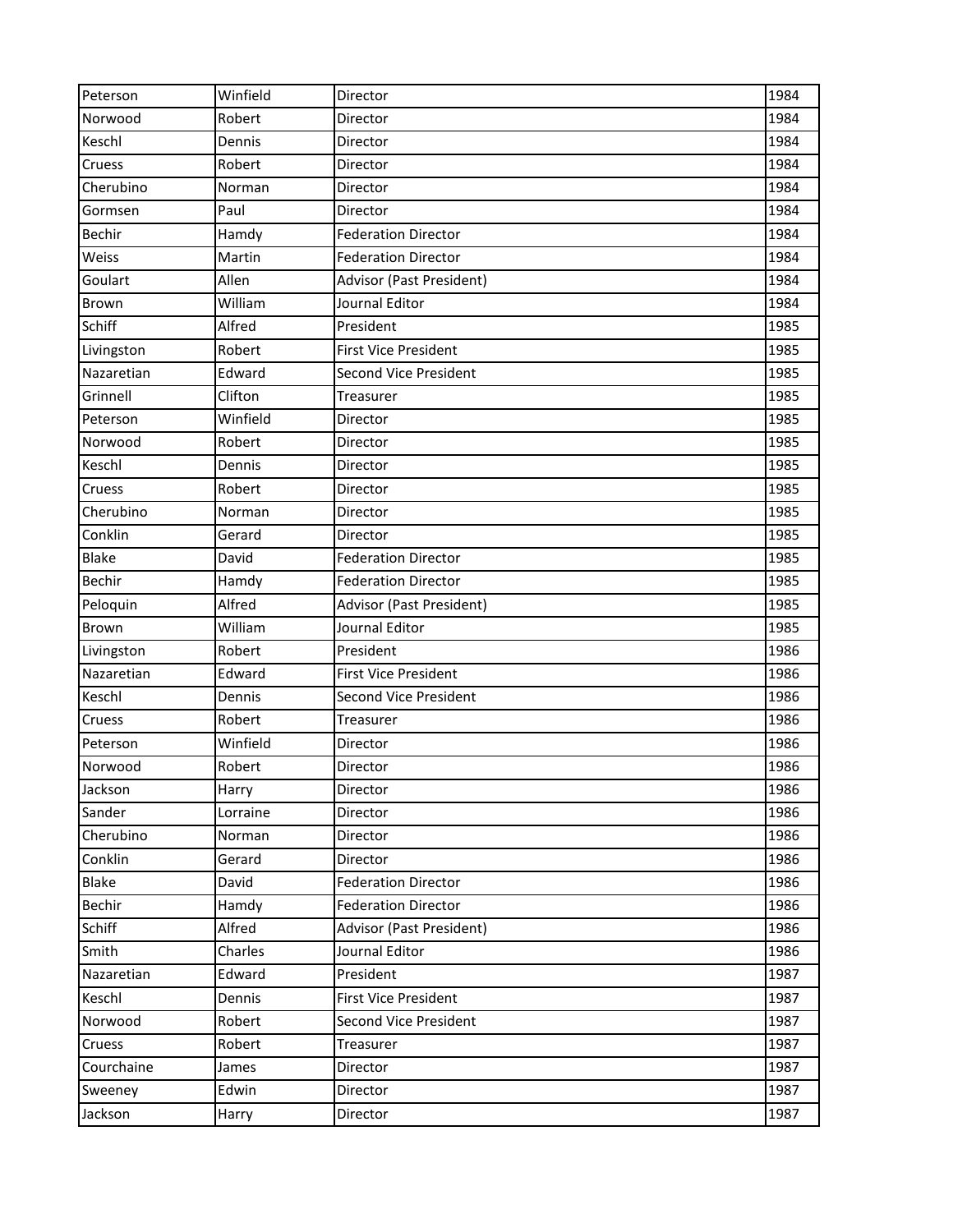| Peterson      | Winfield | Director                     | 1984 |
|---------------|----------|------------------------------|------|
| Norwood       | Robert   | Director                     | 1984 |
| Keschl        | Dennis   | Director                     | 1984 |
| Cruess        | Robert   | Director                     | 1984 |
| Cherubino     | Norman   | Director                     | 1984 |
| Gormsen       | Paul     | Director                     | 1984 |
| Bechir        | Hamdy    | <b>Federation Director</b>   | 1984 |
| Weiss         | Martin   | <b>Federation Director</b>   | 1984 |
| Goulart       | Allen    | Advisor (Past President)     | 1984 |
| Brown         | William  | Journal Editor               | 1984 |
| Schiff        | Alfred   | President                    | 1985 |
| Livingston    | Robert   | <b>First Vice President</b>  | 1985 |
| Nazaretian    | Edward   | <b>Second Vice President</b> | 1985 |
| Grinnell      | Clifton  | Treasurer                    | 1985 |
| Peterson      | Winfield | Director                     | 1985 |
| Norwood       | Robert   | Director                     | 1985 |
| Keschl        | Dennis   | Director                     | 1985 |
| Cruess        | Robert   | Director                     | 1985 |
| Cherubino     | Norman   | Director                     | 1985 |
| Conklin       | Gerard   | Director                     | 1985 |
| <b>Blake</b>  | David    | <b>Federation Director</b>   | 1985 |
| Bechir        | Hamdy    | <b>Federation Director</b>   | 1985 |
| Peloquin      | Alfred   | Advisor (Past President)     | 1985 |
| Brown         | William  | Journal Editor               | 1985 |
| Livingston    | Robert   | President                    | 1986 |
| Nazaretian    | Edward   | <b>First Vice President</b>  | 1986 |
| Keschl        | Dennis   | Second Vice President        | 1986 |
| Cruess        | Robert   | Treasurer                    | 1986 |
| Peterson      | Winfield | Director                     | 1986 |
| Norwood       | Robert   | Director                     | 1986 |
| Jackson       | Harry    | Director                     | 1986 |
| Sander        | Lorraine | Director                     | 1986 |
| Cherubino     | Norman   | Director                     | 1986 |
| Conklin       | Gerard   | Director                     | 1986 |
| Blake         | David    | <b>Federation Director</b>   | 1986 |
| <b>Bechir</b> | Hamdy    | <b>Federation Director</b>   | 1986 |
| Schiff        | Alfred   | Advisor (Past President)     | 1986 |
| Smith         | Charles  | Journal Editor               | 1986 |
| Nazaretian    | Edward   | President                    | 1987 |
| Keschl        | Dennis   | <b>First Vice President</b>  | 1987 |
| Norwood       | Robert   | Second Vice President        | 1987 |
| Cruess        | Robert   | Treasurer                    | 1987 |
| Courchaine    | James    | Director                     | 1987 |
| Sweeney       | Edwin    | Director                     | 1987 |
| Jackson       | Harry    | Director                     | 1987 |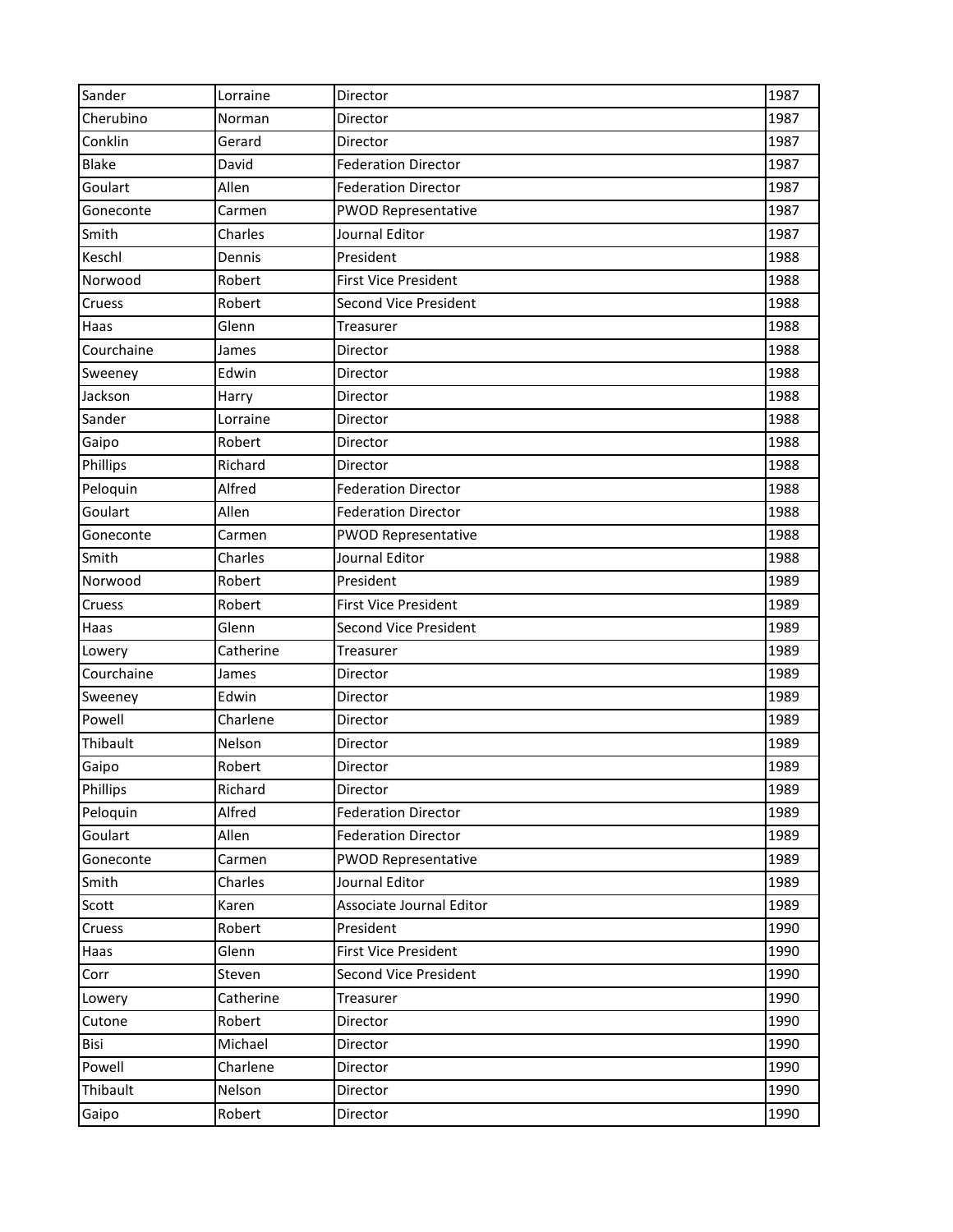| Sander       | Lorraine  | Director                     | 1987 |
|--------------|-----------|------------------------------|------|
| Cherubino    | Norman    | Director                     | 1987 |
| Conklin      | Gerard    | Director                     | 1987 |
| <b>Blake</b> | David     | <b>Federation Director</b>   | 1987 |
| Goulart      | Allen     | <b>Federation Director</b>   | 1987 |
| Goneconte    | Carmen    | <b>PWOD Representative</b>   | 1987 |
| Smith        | Charles   | Journal Editor               | 1987 |
| Keschl       | Dennis    | President                    | 1988 |
| Norwood      | Robert    | <b>First Vice President</b>  | 1988 |
| Cruess       | Robert    | <b>Second Vice President</b> | 1988 |
| Haas         | Glenn     | Treasurer                    | 1988 |
| Courchaine   | James     | Director                     | 1988 |
| Sweeney      | Edwin     | Director                     | 1988 |
| Jackson      | Harry     | Director                     | 1988 |
| Sander       | Lorraine  | Director                     | 1988 |
| Gaipo        | Robert    | Director                     | 1988 |
| Phillips     | Richard   | Director                     | 1988 |
| Peloquin     | Alfred    | <b>Federation Director</b>   | 1988 |
| Goulart      | Allen     | <b>Federation Director</b>   | 1988 |
| Goneconte    | Carmen    | <b>PWOD Representative</b>   | 1988 |
| Smith        | Charles   | Journal Editor               | 1988 |
| Norwood      | Robert    | President                    | 1989 |
| Cruess       | Robert    | <b>First Vice President</b>  | 1989 |
| Haas         | Glenn     | <b>Second Vice President</b> | 1989 |
| Lowery       | Catherine | Treasurer                    | 1989 |
| Courchaine   | James     | Director                     | 1989 |
| Sweeney      | Edwin     | Director                     | 1989 |
| Powell       | Charlene  | Director                     | 1989 |
| Thibault     | Nelson    | Director                     | 1989 |
| Gaipo        | Robert    | Director                     | 1989 |
| Phillips     | Richard   | Director                     | 1989 |
| Peloquin     | Alfred    | <b>Federation Director</b>   | 1989 |
| Goulart      | Allen     | <b>Federation Director</b>   | 1989 |
| Goneconte    | Carmen    | <b>PWOD Representative</b>   | 1989 |
| Smith        | Charles   | Journal Editor               | 1989 |
| Scott        | Karen     | Associate Journal Editor     | 1989 |
| Cruess       | Robert    | President                    | 1990 |
| Haas         | Glenn     | <b>First Vice President</b>  | 1990 |
| Corr         | Steven    | Second Vice President        | 1990 |
| Lowery       | Catherine | Treasurer                    | 1990 |
| Cutone       | Robert    | Director                     | 1990 |
| Bisi         | Michael   | Director                     | 1990 |
| Powell       | Charlene  | Director                     | 1990 |
| Thibault     | Nelson    | Director                     | 1990 |
| Gaipo        | Robert    | Director                     | 1990 |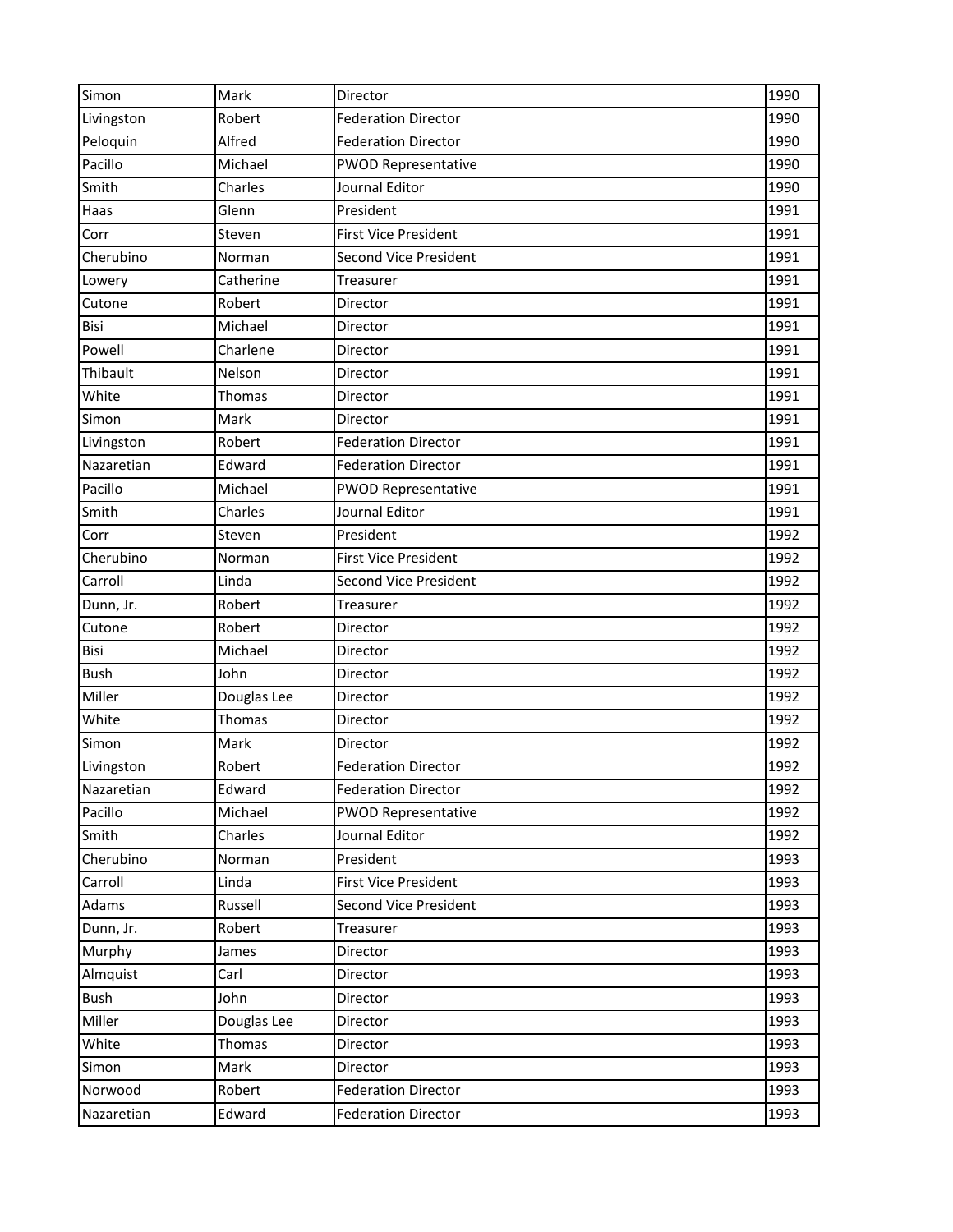| Simon       | Mark        | Director                     | 1990 |
|-------------|-------------|------------------------------|------|
| Livingston  | Robert      | <b>Federation Director</b>   | 1990 |
| Peloquin    | Alfred      | <b>Federation Director</b>   | 1990 |
| Pacillo     | Michael     | <b>PWOD Representative</b>   | 1990 |
| Smith       | Charles     | Journal Editor               | 1990 |
| Haas        | Glenn       | President                    | 1991 |
| Corr        | Steven      | <b>First Vice President</b>  | 1991 |
| Cherubino   | Norman      | Second Vice President        | 1991 |
| Lowery      | Catherine   | Treasurer                    | 1991 |
| Cutone      | Robert      | Director                     | 1991 |
| Bisi        | Michael     | Director                     | 1991 |
| Powell      | Charlene    | Director                     | 1991 |
| Thibault    | Nelson      | Director                     | 1991 |
| White       | Thomas      | Director                     | 1991 |
| Simon       | Mark        | Director                     | 1991 |
| Livingston  | Robert      | <b>Federation Director</b>   | 1991 |
| Nazaretian  | Edward      | <b>Federation Director</b>   | 1991 |
| Pacillo     | Michael     | <b>PWOD Representative</b>   | 1991 |
| Smith       | Charles     | Journal Editor               | 1991 |
| Corr        | Steven      | President                    | 1992 |
| Cherubino   | Norman      | <b>First Vice President</b>  | 1992 |
| Carroll     | Linda       | <b>Second Vice President</b> | 1992 |
| Dunn, Jr.   | Robert      | Treasurer                    | 1992 |
| Cutone      | Robert      | Director                     | 1992 |
| Bisi        | Michael     | Director                     | 1992 |
| <b>Bush</b> | John        | Director                     | 1992 |
| Miller      | Douglas Lee | Director                     | 1992 |
| White       | Thomas      | Director                     | 1992 |
| Simon       | Mark        | Director                     | 1992 |
| Livingston  | Robert      | <b>Federation Director</b>   | 1992 |
| Nazaretian  | Edward      | <b>Federation Director</b>   | 1992 |
| Pacillo     | Michael     | <b>PWOD Representative</b>   | 1992 |
| Smith       | Charles     | Journal Editor               | 1992 |
| Cherubino   | Norman      | President                    | 1993 |
| Carroll     | Linda       | <b>First Vice President</b>  | 1993 |
| Adams       | Russell     | <b>Second Vice President</b> | 1993 |
| Dunn, Jr.   | Robert      | Treasurer                    | 1993 |
| Murphy      | James       | Director                     | 1993 |
| Almquist    | Carl        | Director                     | 1993 |
| <b>Bush</b> | John        | Director                     | 1993 |
| Miller      | Douglas Lee | Director                     | 1993 |
| White       | Thomas      | Director                     | 1993 |
| Simon       | Mark        | Director                     | 1993 |
| Norwood     | Robert      | <b>Federation Director</b>   | 1993 |
| Nazaretian  | Edward      | <b>Federation Director</b>   | 1993 |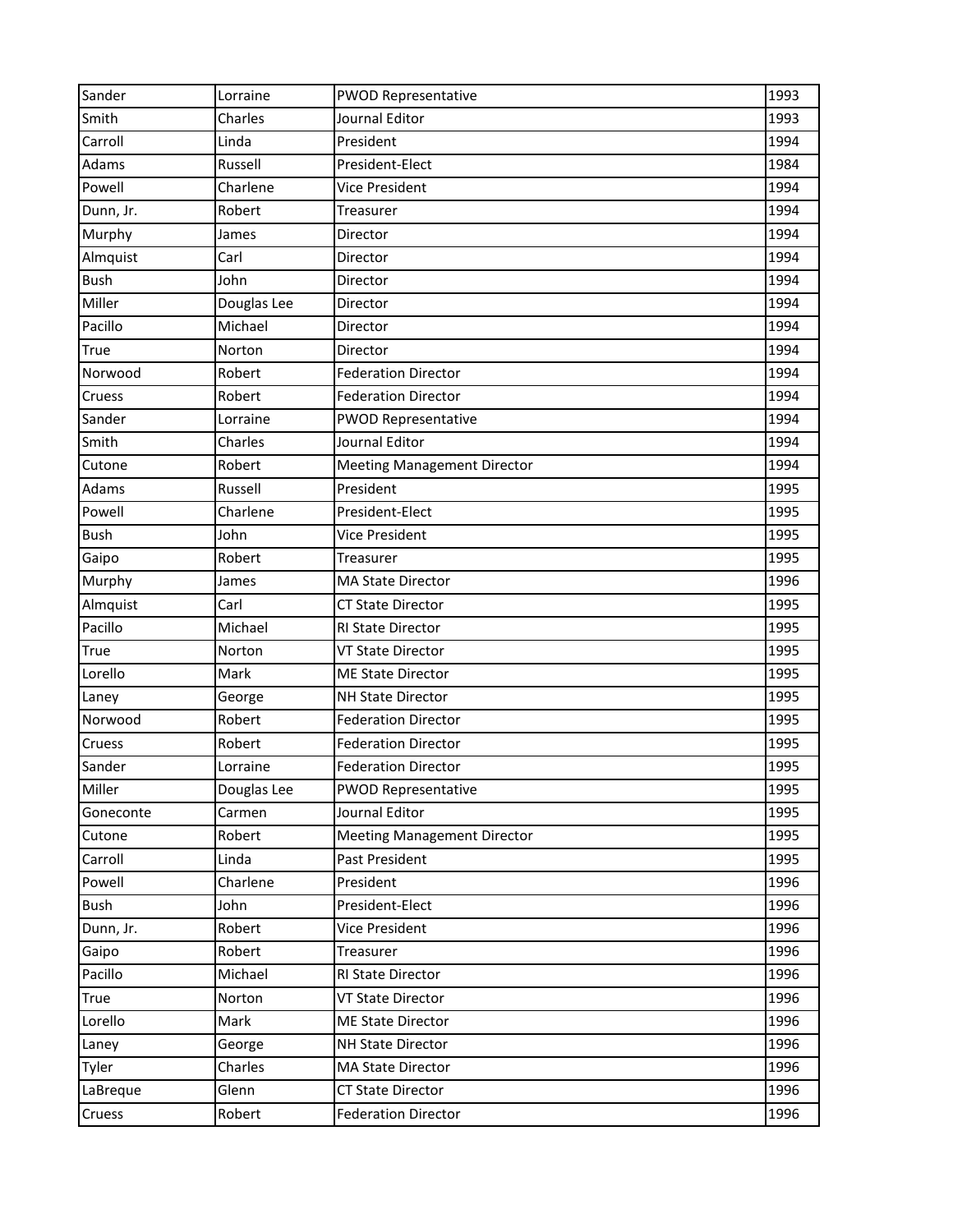| Sander      | Lorraine    | <b>PWOD Representative</b>         | 1993 |
|-------------|-------------|------------------------------------|------|
| Smith       | Charles     | Journal Editor                     | 1993 |
| Carroll     | Linda       | President                          | 1994 |
| Adams       | Russell     | President-Elect                    | 1984 |
| Powell      | Charlene    | Vice President                     | 1994 |
| Dunn, Jr.   | Robert      | Treasurer                          | 1994 |
| Murphy      | James       | Director                           | 1994 |
| Almquist    | Carl        | Director                           | 1994 |
| <b>Bush</b> | John        | Director                           | 1994 |
| Miller      | Douglas Lee | Director                           | 1994 |
| Pacillo     | Michael     | Director                           | 1994 |
| True        | Norton      | Director                           | 1994 |
| Norwood     | Robert      | <b>Federation Director</b>         | 1994 |
| Cruess      | Robert      | <b>Federation Director</b>         | 1994 |
| Sander      | Lorraine    | <b>PWOD Representative</b>         | 1994 |
| Smith       | Charles     | Journal Editor                     | 1994 |
| Cutone      | Robert      | <b>Meeting Management Director</b> | 1994 |
| Adams       | Russell     | President                          | 1995 |
| Powell      | Charlene    | President-Elect                    | 1995 |
| <b>Bush</b> | John        | Vice President                     | 1995 |
| Gaipo       | Robert      | Treasurer                          | 1995 |
| Murphy      | James       | <b>MA State Director</b>           | 1996 |
| Almquist    | Carl        | <b>CT State Director</b>           | 1995 |
| Pacillo     | Michael     | <b>RI State Director</b>           | 1995 |
| True        | Norton      | VT State Director                  | 1995 |
| Lorello     | Mark        | <b>ME State Director</b>           | 1995 |
| Laney       | George      | <b>NH State Director</b>           | 1995 |
| Norwood     | Robert      | <b>Federation Director</b>         | 1995 |
| Cruess      | Robert      | <b>Federation Director</b>         | 1995 |
| Sander      | Lorraine    | <b>Federation Director</b>         | 1995 |
| Miller      | Douglas Lee | <b>PWOD Representative</b>         | 1995 |
| Goneconte   | Carmen      | Journal Editor                     | 1995 |
| Cutone      | Robert      | <b>Meeting Management Director</b> | 1995 |
| Carroll     | Linda       | Past President                     | 1995 |
| Powell      | Charlene    | President                          | 1996 |
| Bush        | John        | President-Elect                    | 1996 |
| Dunn, Jr.   | Robert      | Vice President                     | 1996 |
| Gaipo       | Robert      | Treasurer                          | 1996 |
| Pacillo     | Michael     | RI State Director                  | 1996 |
| True        | Norton      | <b>VT State Director</b>           | 1996 |
| Lorello     | Mark        | <b>ME State Director</b>           | 1996 |
| Laney       | George      | <b>NH State Director</b>           | 1996 |
| Tyler       | Charles     | <b>MA State Director</b>           | 1996 |
| LaBreque    | Glenn       | <b>CT State Director</b>           | 1996 |
| Cruess      | Robert      | <b>Federation Director</b>         | 1996 |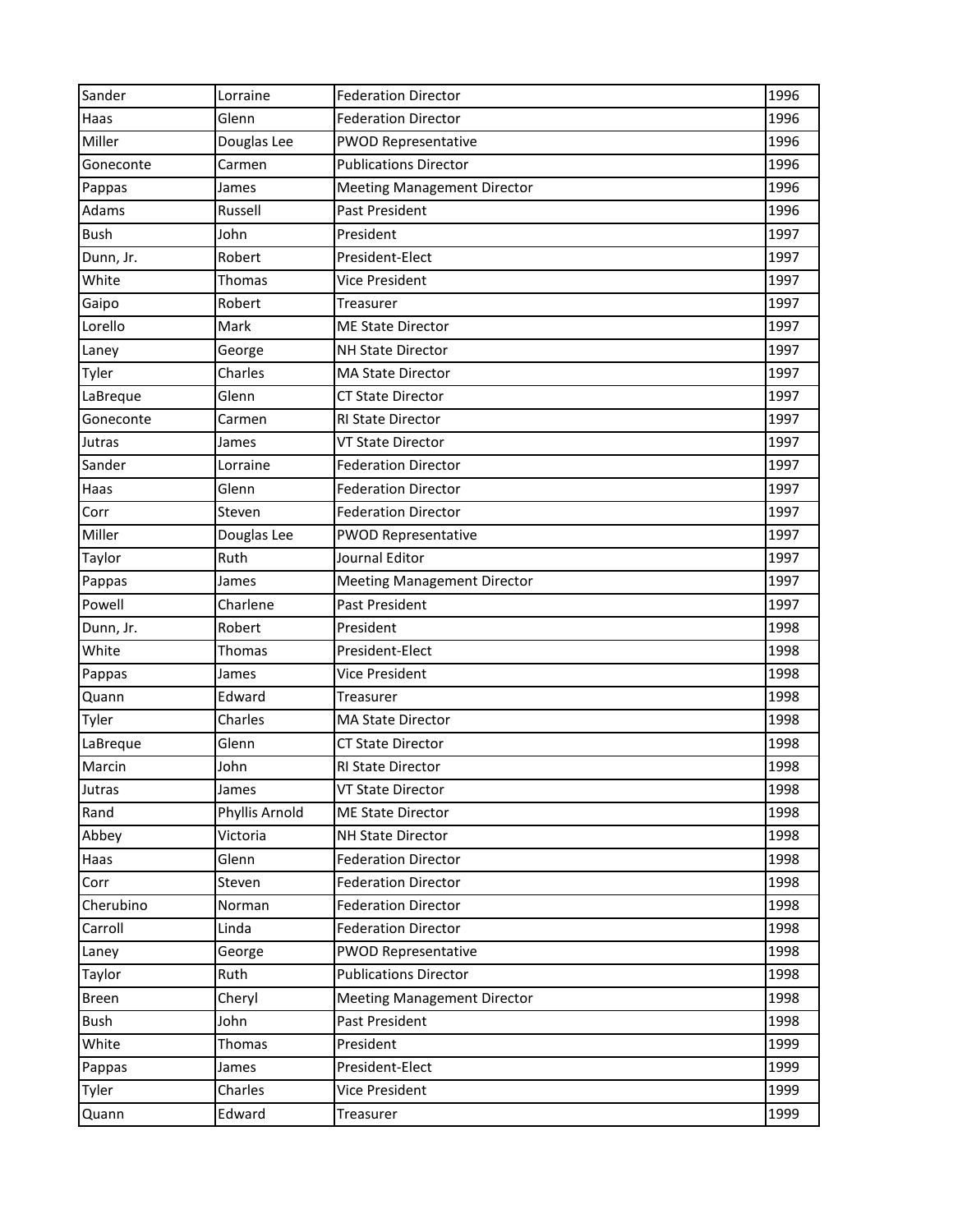| Sander       | Lorraine       | <b>Federation Director</b>         | 1996 |
|--------------|----------------|------------------------------------|------|
| Haas         | Glenn          | <b>Federation Director</b>         | 1996 |
| Miller       | Douglas Lee    | <b>PWOD Representative</b>         | 1996 |
| Goneconte    | Carmen         | <b>Publications Director</b>       | 1996 |
| Pappas       | James          | <b>Meeting Management Director</b> | 1996 |
| Adams        | Russell        | Past President                     | 1996 |
| <b>Bush</b>  | John           | President                          | 1997 |
| Dunn, Jr.    | Robert         | President-Elect                    | 1997 |
| White        | Thomas         | Vice President                     | 1997 |
| Gaipo        | Robert         | Treasurer                          | 1997 |
| Lorello      | Mark           | <b>ME State Director</b>           | 1997 |
| Laney        | George         | <b>NH State Director</b>           | 1997 |
| Tyler        | Charles        | <b>MA State Director</b>           | 1997 |
| LaBreque     | Glenn          | <b>CT State Director</b>           | 1997 |
| Goneconte    | Carmen         | RI State Director                  | 1997 |
| Jutras       | James          | <b>VT State Director</b>           | 1997 |
| Sander       | Lorraine       | <b>Federation Director</b>         | 1997 |
| Haas         | Glenn          | <b>Federation Director</b>         | 1997 |
| Corr         | Steven         | <b>Federation Director</b>         | 1997 |
| Miller       | Douglas Lee    | <b>PWOD Representative</b>         | 1997 |
| Taylor       | Ruth           | Journal Editor                     | 1997 |
| Pappas       | James          | <b>Meeting Management Director</b> | 1997 |
| Powell       | Charlene       | Past President                     | 1997 |
| Dunn, Jr.    | Robert         | President                          | 1998 |
| White        | Thomas         | President-Elect                    | 1998 |
| Pappas       | James          | Vice President                     | 1998 |
| Quann        | Edward         | Treasurer                          | 1998 |
| Tyler        | Charles        | <b>MA State Director</b>           | 1998 |
| LaBreque     | Glenn          | <b>CT State Director</b>           | 1998 |
| Marcin       | John           | <b>RI State Director</b>           | 1998 |
| Jutras       | James          | VT State Director                  | 1998 |
| Rand         | Phyllis Arnold | <b>ME State Director</b>           | 1998 |
| Abbey        | Victoria       | <b>NH State Director</b>           | 1998 |
| Haas         | Glenn          | <b>Federation Director</b>         | 1998 |
| Corr         | Steven         | <b>Federation Director</b>         | 1998 |
| Cherubino    | Norman         | <b>Federation Director</b>         | 1998 |
| Carroll      | Linda          | <b>Federation Director</b>         | 1998 |
| Laney        | George         | <b>PWOD Representative</b>         | 1998 |
| Taylor       | Ruth           | <b>Publications Director</b>       | 1998 |
| <b>Breen</b> | Cheryl         | <b>Meeting Management Director</b> | 1998 |
| Bush         | John           | Past President                     | 1998 |
| White        | Thomas         | President                          | 1999 |
| Pappas       | James          | President-Elect                    | 1999 |
| Tyler        | Charles        | Vice President                     | 1999 |
| Quann        | Edward         | Treasurer                          | 1999 |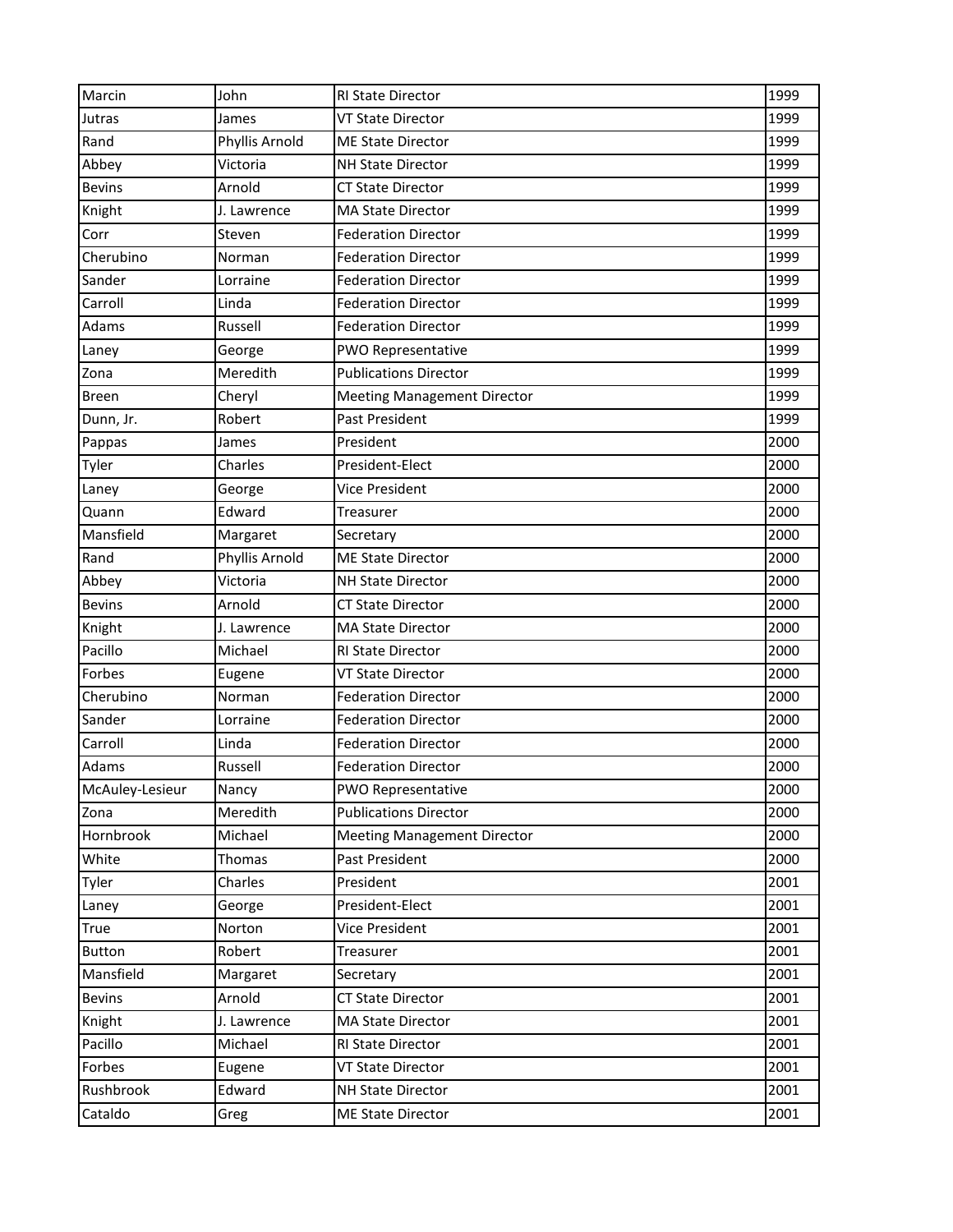| Marcin          | John           | RI State Director                  | 1999 |
|-----------------|----------------|------------------------------------|------|
| Jutras          | James          | <b>VT State Director</b>           | 1999 |
| Rand            | Phyllis Arnold | <b>ME State Director</b>           | 1999 |
| Abbey           | Victoria       | <b>NH State Director</b>           | 1999 |
| <b>Bevins</b>   | Arnold         | <b>CT State Director</b>           | 1999 |
| Knight          | J. Lawrence    | MA State Director                  | 1999 |
| Corr            | Steven         | <b>Federation Director</b>         | 1999 |
| Cherubino       | Norman         | <b>Federation Director</b>         | 1999 |
| Sander          | Lorraine       | <b>Federation Director</b>         | 1999 |
| Carroll         | Linda          | <b>Federation Director</b>         | 1999 |
| Adams           | Russell        | <b>Federation Director</b>         | 1999 |
| Laney           | George         | PWO Representative                 | 1999 |
| Zona            | Meredith       | <b>Publications Director</b>       | 1999 |
| <b>Breen</b>    | Cheryl         | <b>Meeting Management Director</b> | 1999 |
| Dunn, Jr.       | Robert         | Past President                     | 1999 |
| Pappas          | James          | President                          | 2000 |
| Tyler           | Charles        | President-Elect                    | 2000 |
| Laney           | George         | Vice President                     | 2000 |
| Quann           | Edward         | Treasurer                          | 2000 |
| Mansfield       | Margaret       | Secretary                          | 2000 |
| Rand            | Phyllis Arnold | <b>ME State Director</b>           | 2000 |
| Abbey           | Victoria       | <b>NH State Director</b>           | 2000 |
| <b>Bevins</b>   | Arnold         | <b>CT State Director</b>           | 2000 |
| Knight          | J. Lawrence    | <b>MA State Director</b>           | 2000 |
| Pacillo         | Michael        | RI State Director                  | 2000 |
| Forbes          | Eugene         | <b>VT State Director</b>           | 2000 |
| Cherubino       | Norman         | <b>Federation Director</b>         | 2000 |
| Sander          | Lorraine       | <b>Federation Director</b>         | 2000 |
| Carroll         | Linda          | <b>Federation Director</b>         | 2000 |
| Adams           | Russell        | <b>Federation Director</b>         | 2000 |
| McAuley-Lesieur | Nancy          | PWO Representative                 | 2000 |
| Zona            | Meredith       | <b>Publications Director</b>       | 2000 |
| Hornbrook       | Michael        | <b>Meeting Management Director</b> | 2000 |
| White           | Thomas         | Past President                     | 2000 |
| Tyler           | Charles        | President                          | 2001 |
| Laney           | George         | President-Elect                    | 2001 |
| True            | Norton         | Vice President                     | 2001 |
| <b>Button</b>   | Robert         | Treasurer                          | 2001 |
| Mansfield       | Margaret       | Secretary                          | 2001 |
| <b>Bevins</b>   | Arnold         | CT State Director                  | 2001 |
| Knight          | J. Lawrence    | <b>MA State Director</b>           | 2001 |
| Pacillo         | Michael        | RI State Director                  | 2001 |
| Forbes          | Eugene         | VT State Director                  | 2001 |
| Rushbrook       | Edward         | <b>NH State Director</b>           | 2001 |
| Cataldo         | Greg           | <b>ME State Director</b>           | 2001 |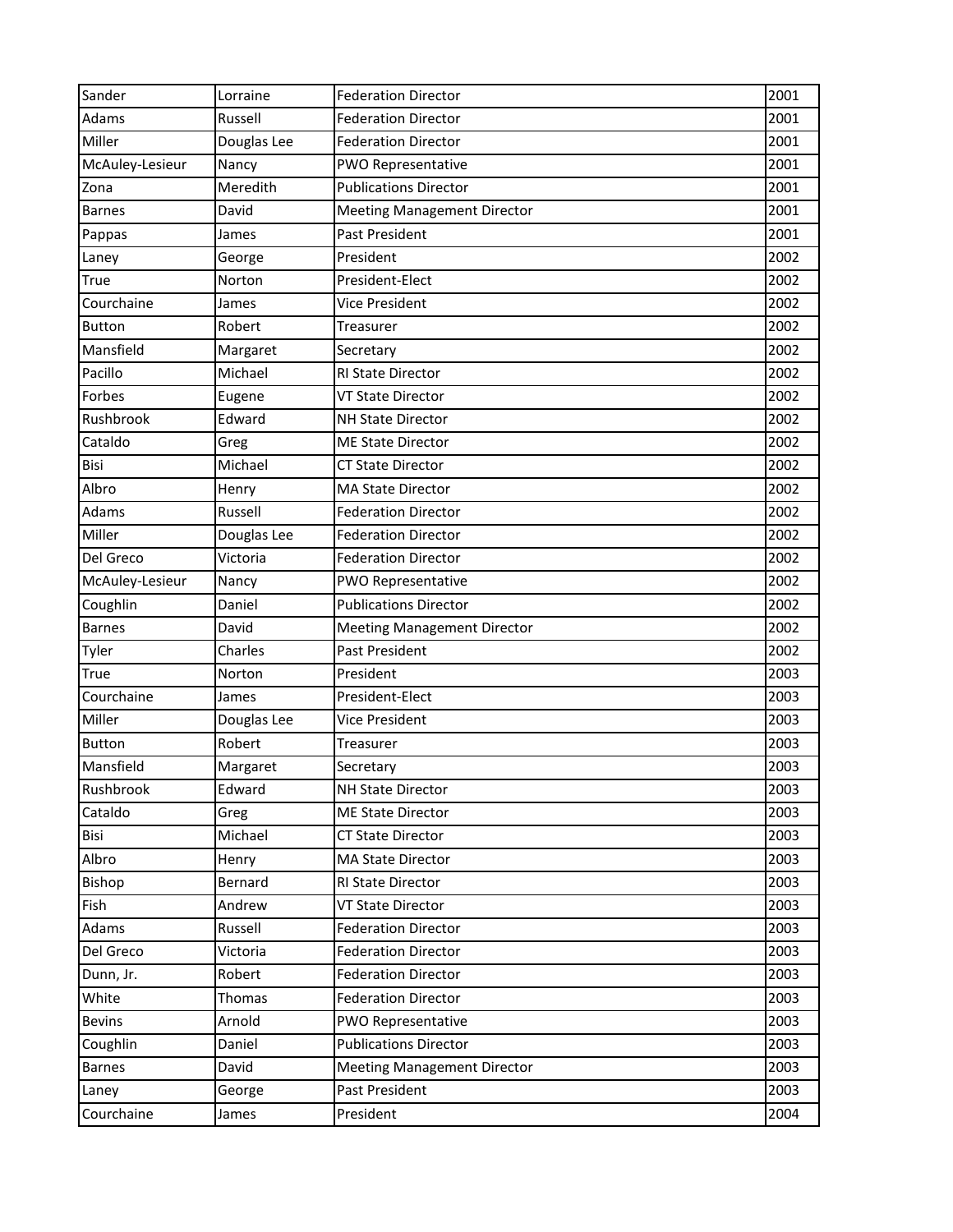| Sander          | Lorraine    | <b>Federation Director</b>         | 2001 |
|-----------------|-------------|------------------------------------|------|
| Adams           | Russell     | <b>Federation Director</b>         | 2001 |
| Miller          | Douglas Lee | <b>Federation Director</b>         | 2001 |
| McAuley-Lesieur | Nancy       | PWO Representative                 | 2001 |
| Zona            | Meredith    | <b>Publications Director</b>       | 2001 |
| <b>Barnes</b>   | David       | <b>Meeting Management Director</b> | 2001 |
| Pappas          | James       | Past President                     | 2001 |
| Laney           | George      | President                          | 2002 |
| <b>True</b>     | Norton      | President-Elect                    | 2002 |
| Courchaine      | James       | Vice President                     | 2002 |
| <b>Button</b>   | Robert      | Treasurer                          | 2002 |
| Mansfield       | Margaret    | Secretary                          | 2002 |
| Pacillo         | Michael     | RI State Director                  | 2002 |
| Forbes          | Eugene      | <b>VT State Director</b>           | 2002 |
| Rushbrook       | Edward      | <b>NH State Director</b>           | 2002 |
| Cataldo         | Greg        | <b>ME State Director</b>           | 2002 |
| Bisi            | Michael     | <b>CT State Director</b>           | 2002 |
| Albro           | Henry       | <b>MA State Director</b>           | 2002 |
| Adams           | Russell     | <b>Federation Director</b>         | 2002 |
| Miller          | Douglas Lee | <b>Federation Director</b>         | 2002 |
| Del Greco       | Victoria    | <b>Federation Director</b>         | 2002 |
| McAuley-Lesieur | Nancy       | PWO Representative                 | 2002 |
| Coughlin        | Daniel      | <b>Publications Director</b>       | 2002 |
| <b>Barnes</b>   | David       | <b>Meeting Management Director</b> | 2002 |
| Tyler           | Charles     | Past President                     | 2002 |
| True            | Norton      | President                          | 2003 |
| Courchaine      | James       | President-Elect                    | 2003 |
| Miller          | Douglas Lee | Vice President                     | 2003 |
| <b>Button</b>   | Robert      | Treasurer                          | 2003 |
| Mansfield       | Margaret    | Secretary                          | 2003 |
| Rushbrook       | Edward      | <b>NH State Director</b>           | 2003 |
| Cataldo         | Greg        | <b>ME State Director</b>           | 2003 |
| Bisi            | Michael     | <b>CT State Director</b>           | 2003 |
| Albro           | Henry       | MA State Director                  | 2003 |
| Bishop          | Bernard     | RI State Director                  | 2003 |
| Fish            | Andrew      | <b>VT State Director</b>           | 2003 |
| Adams           | Russell     | <b>Federation Director</b>         | 2003 |
| Del Greco       | Victoria    | <b>Federation Director</b>         | 2003 |
| Dunn, Jr.       | Robert      | <b>Federation Director</b>         | 2003 |
| White           | Thomas      | <b>Federation Director</b>         | 2003 |
| <b>Bevins</b>   | Arnold      | PWO Representative                 | 2003 |
| Coughlin        | Daniel      | <b>Publications Director</b>       | 2003 |
| <b>Barnes</b>   | David       | <b>Meeting Management Director</b> | 2003 |
| Laney           | George      | Past President                     | 2003 |
| Courchaine      | James       | President                          | 2004 |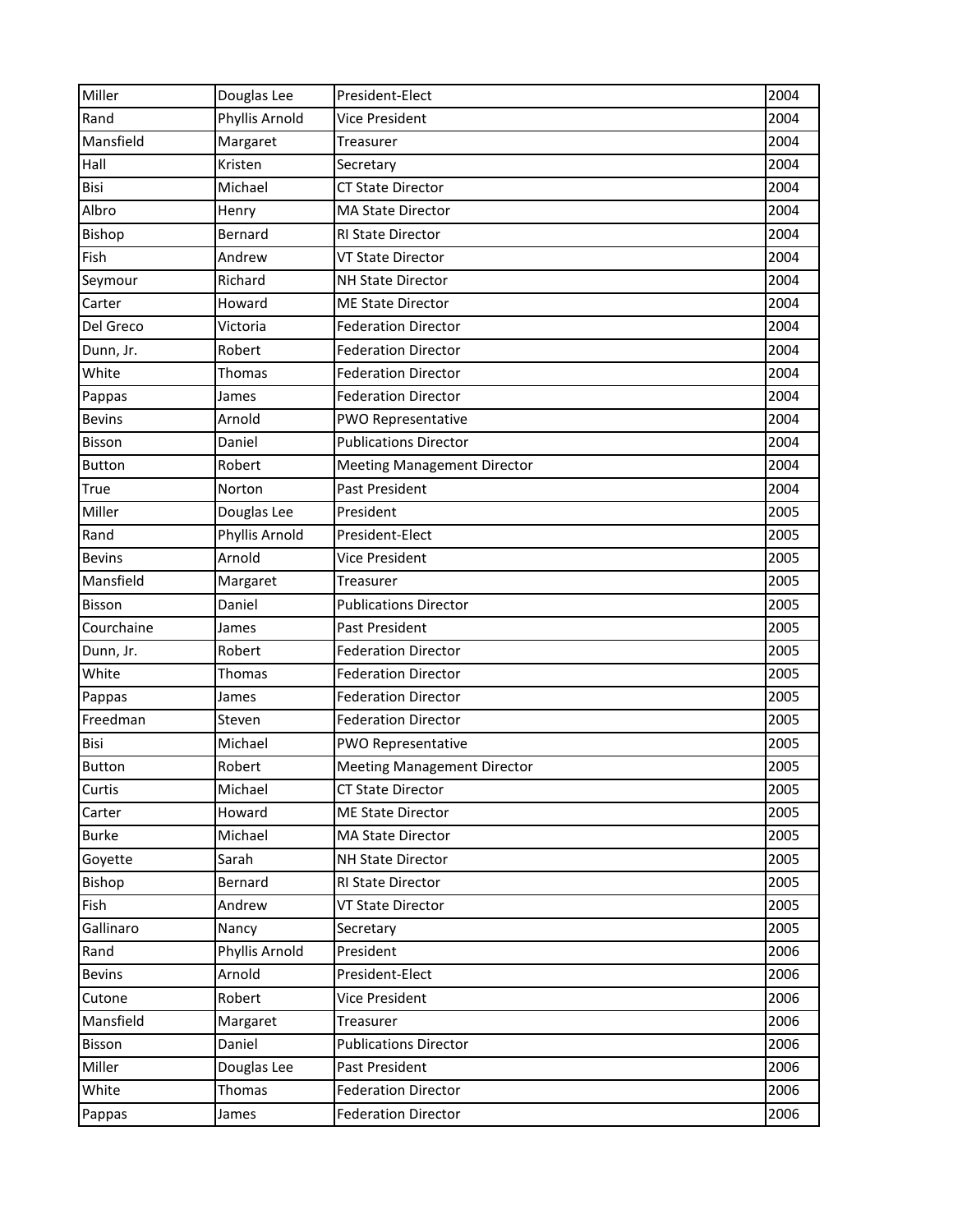| Miller        | Douglas Lee    | President-Elect                    | 2004 |
|---------------|----------------|------------------------------------|------|
| Rand          | Phyllis Arnold | Vice President                     | 2004 |
| Mansfield     | Margaret       | Treasurer                          | 2004 |
| Hall          | Kristen        | Secretary                          | 2004 |
| Bisi          | Michael        | <b>CT State Director</b>           | 2004 |
| Albro         | Henry          | <b>MA State Director</b>           | 2004 |
| Bishop        | Bernard        | RI State Director                  | 2004 |
| Fish          | Andrew         | <b>VT State Director</b>           | 2004 |
| Seymour       | Richard        | <b>NH State Director</b>           | 2004 |
| Carter        | Howard         | <b>ME State Director</b>           | 2004 |
| Del Greco     | Victoria       | <b>Federation Director</b>         | 2004 |
| Dunn, Jr.     | Robert         | <b>Federation Director</b>         | 2004 |
| White         | Thomas         | <b>Federation Director</b>         | 2004 |
| Pappas        | James          | <b>Federation Director</b>         | 2004 |
| <b>Bevins</b> | Arnold         | PWO Representative                 | 2004 |
| Bisson        | Daniel         | <b>Publications Director</b>       | 2004 |
| <b>Button</b> | Robert         | <b>Meeting Management Director</b> | 2004 |
| True          | Norton         | Past President                     | 2004 |
| Miller        | Douglas Lee    | President                          | 2005 |
| Rand          | Phyllis Arnold | President-Elect                    | 2005 |
| <b>Bevins</b> | Arnold         | <b>Vice President</b>              | 2005 |
| Mansfield     | Margaret       | Treasurer                          | 2005 |
| <b>Bisson</b> | Daniel         | <b>Publications Director</b>       | 2005 |
| Courchaine    | James          | Past President                     | 2005 |
| Dunn, Jr.     | Robert         | <b>Federation Director</b>         | 2005 |
| White         | Thomas         | <b>Federation Director</b>         | 2005 |
| Pappas        | James          | <b>Federation Director</b>         | 2005 |
| Freedman      | Steven         | <b>Federation Director</b>         | 2005 |
| Bisi          | Michael        | PWO Representative                 | 2005 |
| <b>Button</b> | Robert         | <b>Meeting Management Director</b> | 2005 |
| Curtis        | Michael        | <b>CT State Director</b>           | 2005 |
| Carter        | Howard         | <b>ME State Director</b>           | 2005 |
| <b>Burke</b>  | Michael        | <b>MA State Director</b>           | 2005 |
| Goyette       | Sarah          | <b>NH State Director</b>           | 2005 |
| Bishop        | Bernard        | <b>RI State Director</b>           | 2005 |
| Fish          | Andrew         | <b>VT State Director</b>           | 2005 |
| Gallinaro     | Nancy          | Secretary                          | 2005 |
| Rand          | Phyllis Arnold | President                          | 2006 |
| <b>Bevins</b> | Arnold         | President-Elect                    | 2006 |
| Cutone        | Robert         | Vice President                     | 2006 |
| Mansfield     | Margaret       | Treasurer                          | 2006 |
| Bisson        | Daniel         | <b>Publications Director</b>       | 2006 |
| Miller        | Douglas Lee    | Past President                     | 2006 |
| White         | Thomas         | <b>Federation Director</b>         | 2006 |
| Pappas        | James          | <b>Federation Director</b>         | 2006 |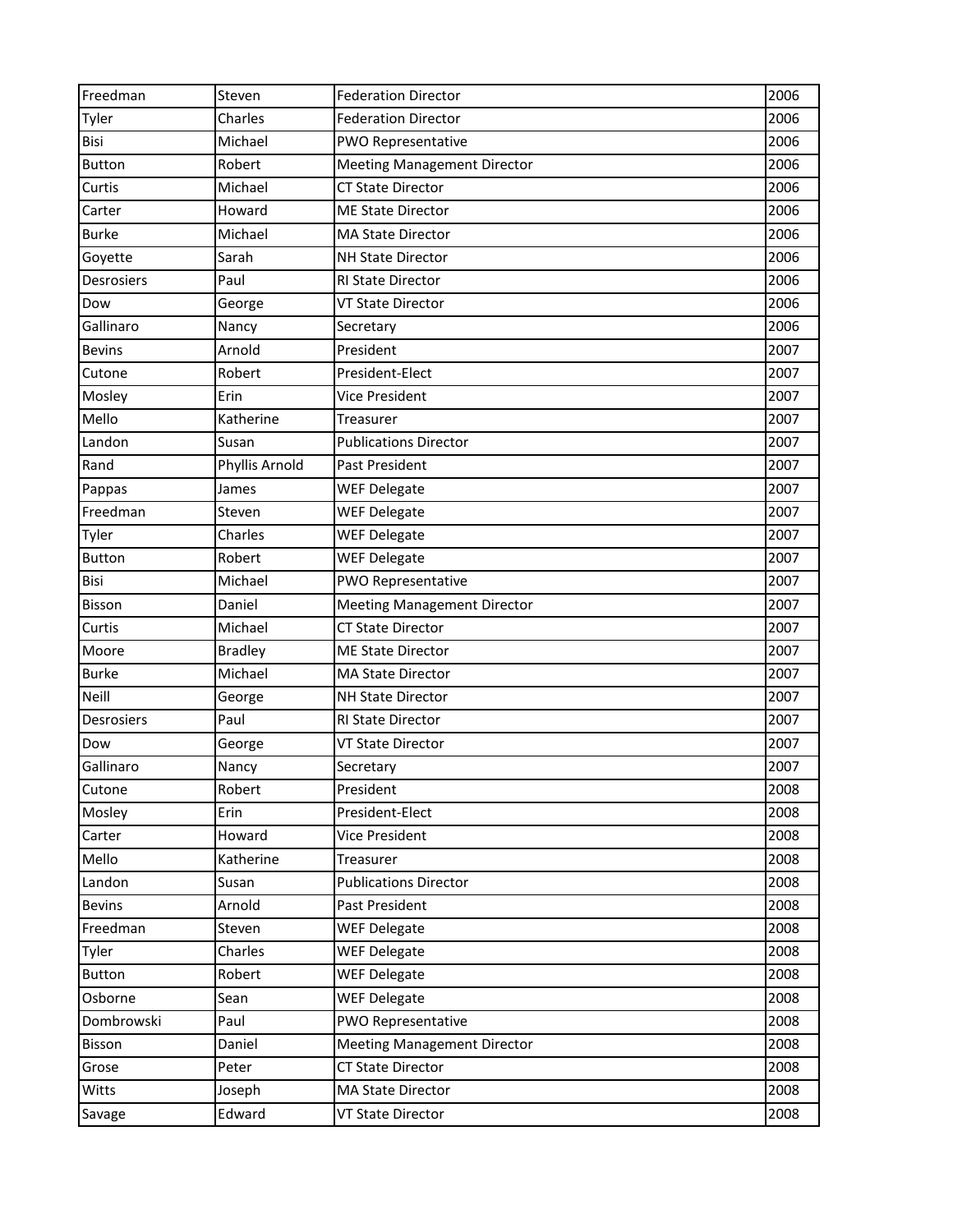| Freedman      | Steven         | <b>Federation Director</b>         | 2006 |
|---------------|----------------|------------------------------------|------|
| Tyler         | Charles        | <b>Federation Director</b>         | 2006 |
| Bisi          | Michael        | PWO Representative                 | 2006 |
| <b>Button</b> | Robert         | <b>Meeting Management Director</b> | 2006 |
| Curtis        | Michael        | <b>CT State Director</b>           | 2006 |
| Carter        | Howard         | <b>ME State Director</b>           | 2006 |
| <b>Burke</b>  | Michael        | <b>MA State Director</b>           | 2006 |
| Goyette       | Sarah          | <b>NH State Director</b>           | 2006 |
| Desrosiers    | Paul           | RI State Director                  | 2006 |
| Dow           | George         | <b>VT State Director</b>           | 2006 |
| Gallinaro     | Nancy          | Secretary                          | 2006 |
| <b>Bevins</b> | Arnold         | President                          | 2007 |
| Cutone        | Robert         | President-Elect                    | 2007 |
| Mosley        | Erin           | Vice President                     | 2007 |
| Mello         | Katherine      | Treasurer                          | 2007 |
| Landon        | Susan          | <b>Publications Director</b>       | 2007 |
| Rand          | Phyllis Arnold | Past President                     | 2007 |
| Pappas        | James          | <b>WEF Delegate</b>                | 2007 |
| Freedman      | Steven         | <b>WEF Delegate</b>                | 2007 |
| Tyler         | Charles        | <b>WEF Delegate</b>                | 2007 |
| <b>Button</b> | Robert         | <b>WEF Delegate</b>                | 2007 |
| Bisi          | Michael        | PWO Representative                 | 2007 |
| Bisson        | Daniel         | <b>Meeting Management Director</b> | 2007 |
| Curtis        | Michael        | <b>CT State Director</b>           | 2007 |
| Moore         | <b>Bradley</b> | <b>ME State Director</b>           | 2007 |
| <b>Burke</b>  | Michael        | <b>MA State Director</b>           | 2007 |
| <b>Neill</b>  | George         | <b>NH State Director</b>           | 2007 |
| Desrosiers    | Paul           | <b>RI State Director</b>           | 2007 |
| Dow           | George         | <b>VT State Director</b>           | 2007 |
| Gallinaro     | Nancy          | Secretary                          | 2007 |
| Cutone        | Robert         | President                          | 2008 |
| Mosley        | Erin           | President-Elect                    | 2008 |
| Carter        | Howard         | Vice President                     | 2008 |
| Mello         | Katherine      | Treasurer                          | 2008 |
| Landon        | Susan          | <b>Publications Director</b>       | 2008 |
| <b>Bevins</b> | Arnold         | Past President                     | 2008 |
| Freedman      | Steven         | <b>WEF Delegate</b>                | 2008 |
| Tyler         | Charles        | <b>WEF Delegate</b>                | 2008 |
| <b>Button</b> | Robert         | <b>WEF Delegate</b>                | 2008 |
| Osborne       | Sean           | <b>WEF Delegate</b>                | 2008 |
| Dombrowski    | Paul           | PWO Representative                 | 2008 |
| Bisson        | Daniel         | <b>Meeting Management Director</b> | 2008 |
| Grose         | Peter          | <b>CT State Director</b>           | 2008 |
| Witts         | Joseph         | <b>MA State Director</b>           | 2008 |
| Savage        | Edward         | VT State Director                  | 2008 |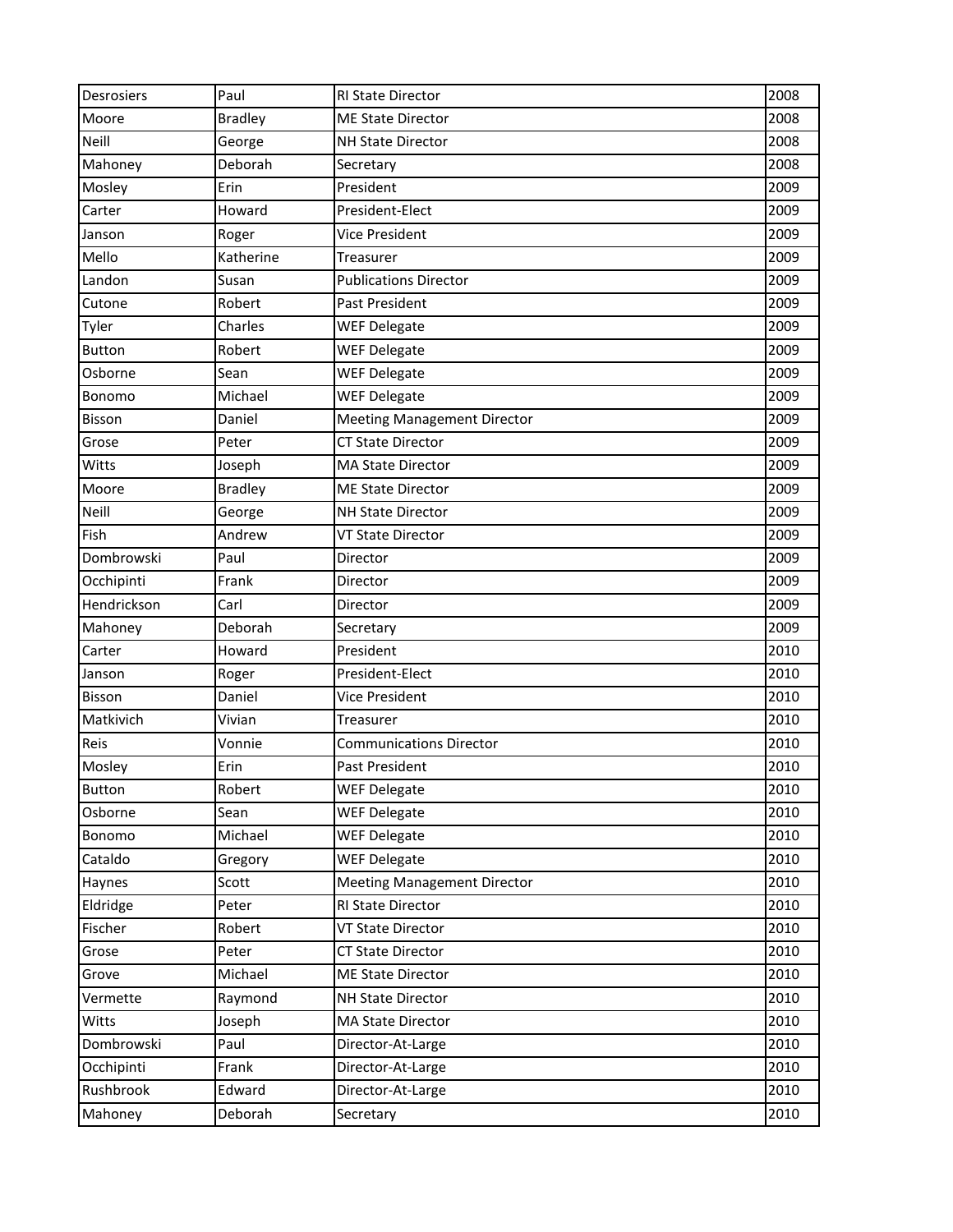| <b>Desrosiers</b> | Paul           | <b>RI State Director</b>           | 2008 |
|-------------------|----------------|------------------------------------|------|
| Moore             | <b>Bradley</b> | <b>ME State Director</b>           | 2008 |
| <b>Neill</b>      | George         | <b>NH State Director</b>           | 2008 |
| Mahoney           | Deborah        | Secretary                          | 2008 |
| Mosley            | Erin           | President                          | 2009 |
| Carter            | Howard         | President-Elect                    | 2009 |
| Janson            | Roger          | Vice President                     | 2009 |
| Mello             | Katherine      | Treasurer                          | 2009 |
| Landon            | Susan          | <b>Publications Director</b>       | 2009 |
| Cutone            | Robert         | Past President                     | 2009 |
| Tyler             | Charles        | <b>WEF Delegate</b>                | 2009 |
| <b>Button</b>     | Robert         | <b>WEF Delegate</b>                | 2009 |
| Osborne           | Sean           | <b>WEF Delegate</b>                | 2009 |
| Bonomo            | Michael        | <b>WEF Delegate</b>                | 2009 |
| <b>Bisson</b>     | Daniel         | <b>Meeting Management Director</b> | 2009 |
| Grose             | Peter          | <b>CT State Director</b>           | 2009 |
| Witts             | Joseph         | <b>MA State Director</b>           | 2009 |
| Moore             | <b>Bradley</b> | <b>ME State Director</b>           | 2009 |
| Neill             | George         | <b>NH State Director</b>           | 2009 |
| Fish              | Andrew         | <b>VT State Director</b>           | 2009 |
| Dombrowski        | Paul           | Director                           | 2009 |
| Occhipinti        | Frank          | Director                           | 2009 |
| Hendrickson       | Carl           | Director                           | 2009 |
| Mahoney           | Deborah        | Secretary                          | 2009 |
| Carter            | Howard         | President                          | 2010 |
| Janson            | Roger          | President-Elect                    | 2010 |
| <b>Bisson</b>     | Daniel         | <b>Vice President</b>              | 2010 |
| Matkivich         | Vivian         | Treasurer                          | 2010 |
| Reis              | Vonnie         | <b>Communications Director</b>     | 2010 |
| Mosley            | Erin           | <b>Past President</b>              | 2010 |
| <b>Button</b>     | Robert         | <b>WEF Delegate</b>                | 2010 |
| Osborne           | Sean           | <b>WEF Delegate</b>                | 2010 |
| Bonomo            | Michael        | <b>WEF Delegate</b>                | 2010 |
| Cataldo           | Gregory        | <b>WEF Delegate</b>                | 2010 |
| Haynes            | Scott          | <b>Meeting Management Director</b> | 2010 |
| Eldridge          | Peter          | RI State Director                  | 2010 |
| Fischer           | Robert         | VT State Director                  | 2010 |
| Grose             | Peter          | <b>CT State Director</b>           | 2010 |
| Grove             | Michael        | <b>ME State Director</b>           | 2010 |
| Vermette          | Raymond        | <b>NH State Director</b>           | 2010 |
| Witts             | Joseph         | <b>MA State Director</b>           | 2010 |
| Dombrowski        | Paul           | Director-At-Large                  | 2010 |
| Occhipinti        | Frank          | Director-At-Large                  | 2010 |
| Rushbrook         | Edward         | Director-At-Large                  | 2010 |
| Mahoney           | Deborah        | Secretary                          | 2010 |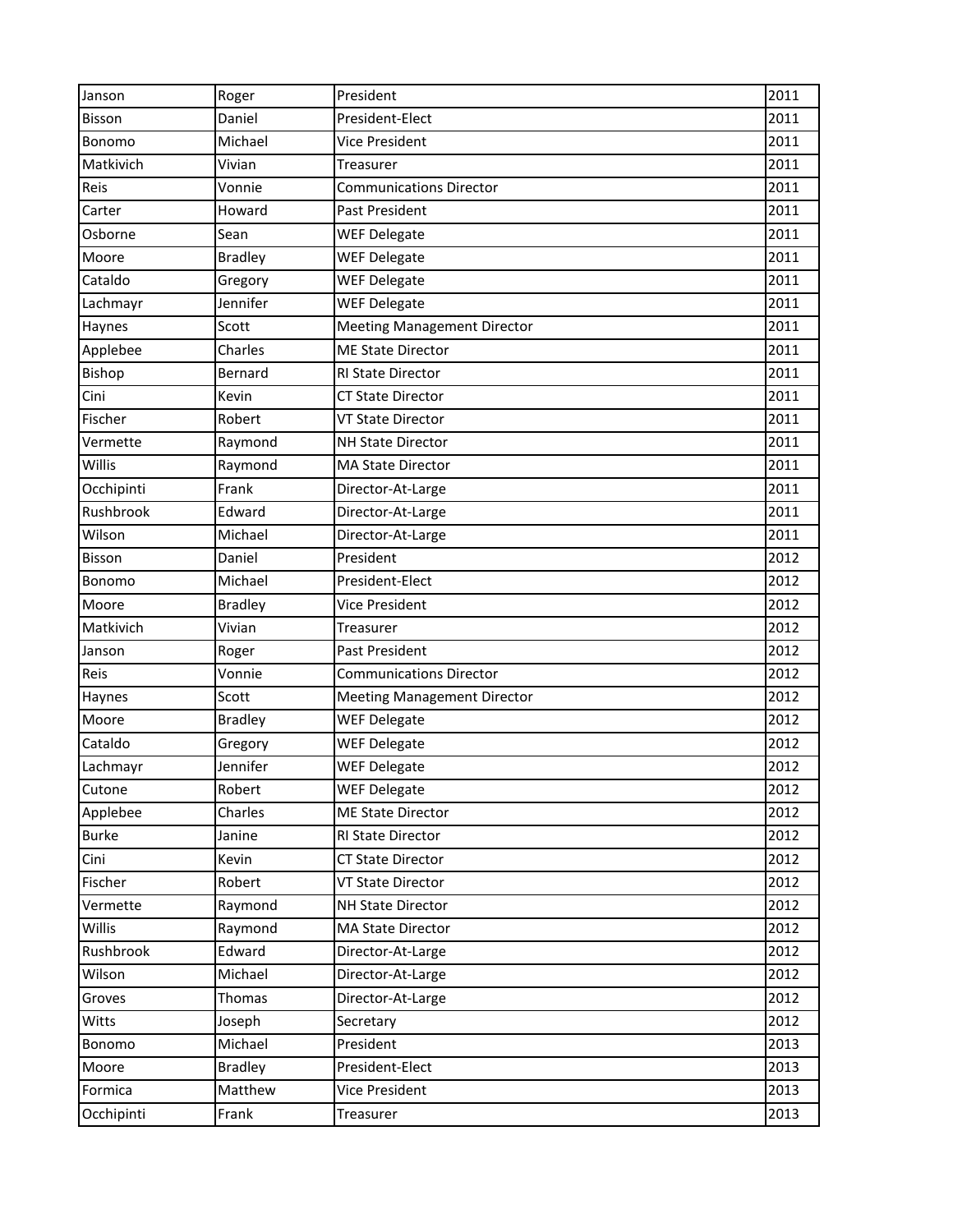| Janson        | Roger          | President                          | 2011 |
|---------------|----------------|------------------------------------|------|
| <b>Bisson</b> | Daniel         | President-Elect                    | 2011 |
| Bonomo        | Michael        | <b>Vice President</b>              | 2011 |
| Matkivich     | Vivian         | Treasurer                          | 2011 |
| Reis          | Vonnie         | <b>Communications Director</b>     | 2011 |
| Carter        | Howard         | Past President                     | 2011 |
| Osborne       | Sean           | <b>WEF Delegate</b>                | 2011 |
| Moore         | <b>Bradley</b> | <b>WEF Delegate</b>                | 2011 |
| Cataldo       | Gregory        | <b>WEF Delegate</b>                | 2011 |
| Lachmayr      | Jennifer       | <b>WEF Delegate</b>                | 2011 |
| Haynes        | Scott          | <b>Meeting Management Director</b> | 2011 |
| Applebee      | Charles        | <b>ME State Director</b>           | 2011 |
| Bishop        | Bernard        | RI State Director                  | 2011 |
| Cini          | Kevin          | <b>CT State Director</b>           | 2011 |
| Fischer       | Robert         | <b>VT State Director</b>           | 2011 |
| Vermette      | Raymond        | <b>NH State Director</b>           | 2011 |
| Willis        | Raymond        | <b>MA State Director</b>           | 2011 |
| Occhipinti    | Frank          | Director-At-Large                  | 2011 |
| Rushbrook     | Edward         | Director-At-Large                  | 2011 |
| Wilson        | Michael        | Director-At-Large                  | 2011 |
| Bisson        | Daniel         | President                          | 2012 |
| Bonomo        | Michael        | President-Elect                    | 2012 |
| Moore         | <b>Bradley</b> | <b>Vice President</b>              | 2012 |
| Matkivich     | Vivian         | Treasurer                          | 2012 |
| Janson        | Roger          | Past President                     | 2012 |
| Reis          | Vonnie         | <b>Communications Director</b>     | 2012 |
| Haynes        | Scott          | <b>Meeting Management Director</b> | 2012 |
| Moore         | <b>Bradley</b> | <b>WEF Delegate</b>                | 2012 |
| Cataldo       | Gregory        | <b>WEF Delegate</b>                | 2012 |
| Lachmayr      | Jennifer       | <b>WEF Delegate</b>                | 2012 |
| Cutone        | Robert         | <b>WEF Delegate</b>                | 2012 |
| Applebee      | Charles        | <b>ME State Director</b>           | 2012 |
| <b>Burke</b>  | Janine         | RI State Director                  | 2012 |
| Cini          | Kevin          | CT State Director                  | 2012 |
| Fischer       | Robert         | <b>VT State Director</b>           | 2012 |
| Vermette      | Raymond        | <b>NH State Director</b>           | 2012 |
| Willis        | Raymond        | <b>MA State Director</b>           | 2012 |
| Rushbrook     | Edward         | Director-At-Large                  | 2012 |
| Wilson        | Michael        | Director-At-Large                  | 2012 |
| Groves        | Thomas         | Director-At-Large                  | 2012 |
| Witts         | Joseph         | Secretary                          | 2012 |
| Bonomo        | Michael        | President                          | 2013 |
| Moore         | <b>Bradley</b> | President-Elect                    | 2013 |
| Formica       | Matthew        | Vice President                     | 2013 |
| Occhipinti    | Frank          | Treasurer                          | 2013 |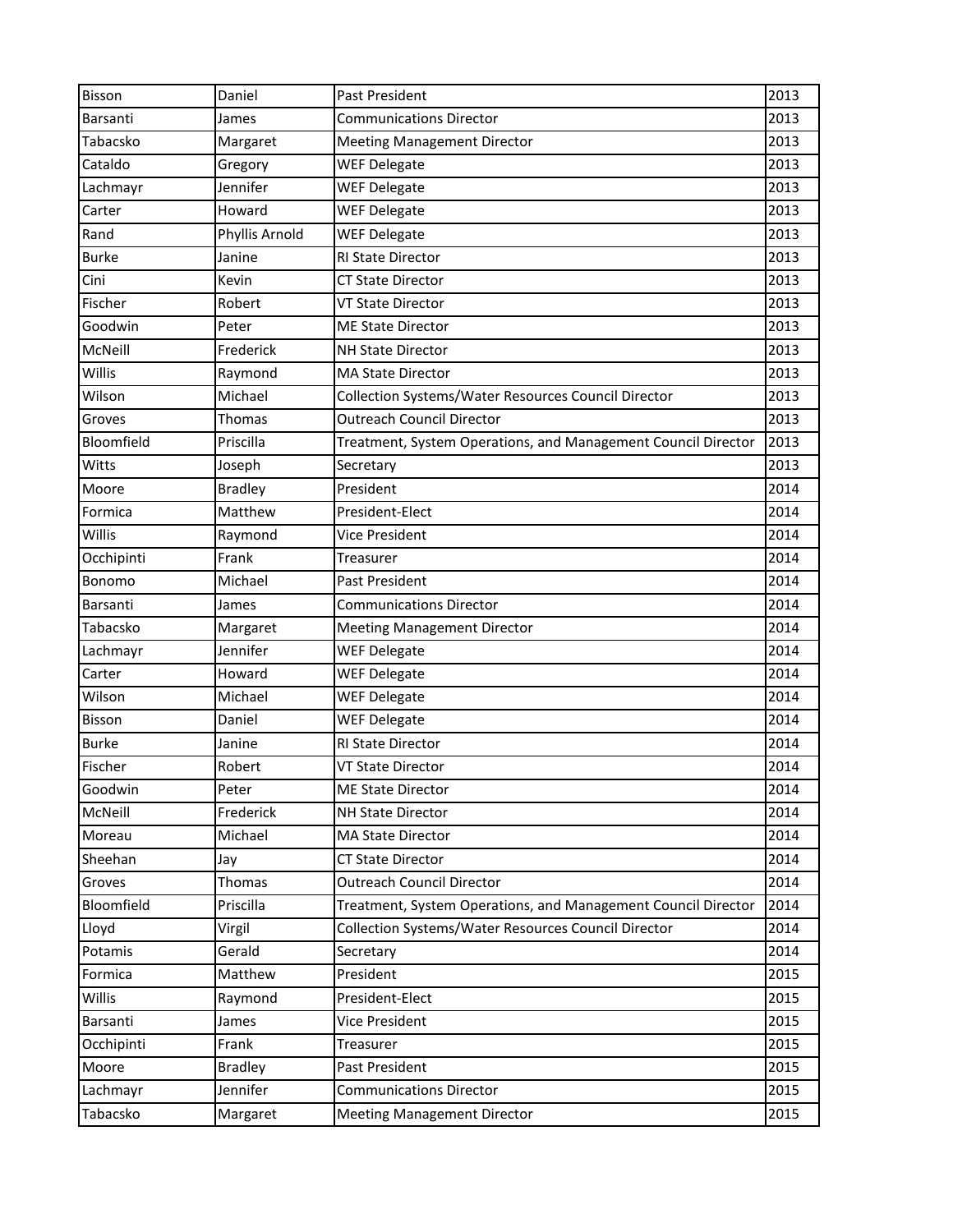| Bisson       | Daniel         | <b>Past President</b>                                         | 2013 |
|--------------|----------------|---------------------------------------------------------------|------|
| Barsanti     | James          | <b>Communications Director</b>                                | 2013 |
| Tabacsko     | Margaret       | <b>Meeting Management Director</b>                            | 2013 |
| Cataldo      | Gregory        | <b>WEF Delegate</b>                                           | 2013 |
| Lachmayr     | Jennifer       | <b>WEF Delegate</b>                                           | 2013 |
| Carter       | Howard         | <b>WEF Delegate</b>                                           | 2013 |
| Rand         | Phyllis Arnold | <b>WEF Delegate</b>                                           | 2013 |
| <b>Burke</b> | Janine         | <b>RI State Director</b>                                      | 2013 |
| Cini         | Kevin          | <b>CT State Director</b>                                      | 2013 |
| Fischer      | Robert         | <b>VT State Director</b>                                      | 2013 |
| Goodwin      | Peter          | <b>ME State Director</b>                                      | 2013 |
| McNeill      | Frederick      | <b>NH State Director</b>                                      | 2013 |
| Willis       | Raymond        | <b>MA State Director</b>                                      | 2013 |
| Wilson       | Michael        | Collection Systems/Water Resources Council Director           | 2013 |
| Groves       | Thomas         | <b>Outreach Council Director</b>                              | 2013 |
| Bloomfield   | Priscilla      | Treatment, System Operations, and Management Council Director | 2013 |
| Witts        | Joseph         | Secretary                                                     | 2013 |
| Moore        | <b>Bradley</b> | President                                                     | 2014 |
| Formica      | Matthew        | President-Elect                                               | 2014 |
| Willis       | Raymond        | Vice President                                                | 2014 |
| Occhipinti   | Frank          | Treasurer                                                     | 2014 |
| Bonomo       | Michael        | Past President                                                | 2014 |
| Barsanti     | James          | <b>Communications Director</b>                                | 2014 |
| Tabacsko     | Margaret       | <b>Meeting Management Director</b>                            | 2014 |
| Lachmayr     | Jennifer       | <b>WEF Delegate</b>                                           | 2014 |
| Carter       | Howard         | <b>WEF Delegate</b>                                           | 2014 |
| Wilson       | Michael        | <b>WEF Delegate</b>                                           | 2014 |
| Bisson       | Daniel         | <b>WEF Delegate</b>                                           | 2014 |
| <b>Burke</b> | Janine         | <b>RI State Director</b>                                      | 2014 |
| Fischer      | Robert         | <b>VT State Director</b>                                      | 2014 |
| Goodwin      | Peter          | <b>ME State Director</b>                                      | 2014 |
| McNeill      | Frederick      | <b>NH State Director</b>                                      | 2014 |
| Moreau       | Michael        | <b>MA State Director</b>                                      | 2014 |
| Sheehan      | Jay            | <b>CT State Director</b>                                      | 2014 |
| Groves       | Thomas         | <b>Outreach Council Director</b>                              | 2014 |
| Bloomfield   | Priscilla      | Treatment, System Operations, and Management Council Director | 2014 |
| Lloyd        | Virgil         | Collection Systems/Water Resources Council Director           | 2014 |
| Potamis      | Gerald         | Secretary                                                     | 2014 |
| Formica      | Matthew        | President                                                     | 2015 |
| Willis       | Raymond        | President-Elect                                               | 2015 |
| Barsanti     | James          | Vice President                                                | 2015 |
| Occhipinti   | Frank          | Treasurer                                                     | 2015 |
| Moore        | <b>Bradley</b> | Past President                                                | 2015 |
| Lachmayr     | Jennifer       | <b>Communications Director</b>                                | 2015 |
| Tabacsko     | Margaret       | <b>Meeting Management Director</b>                            | 2015 |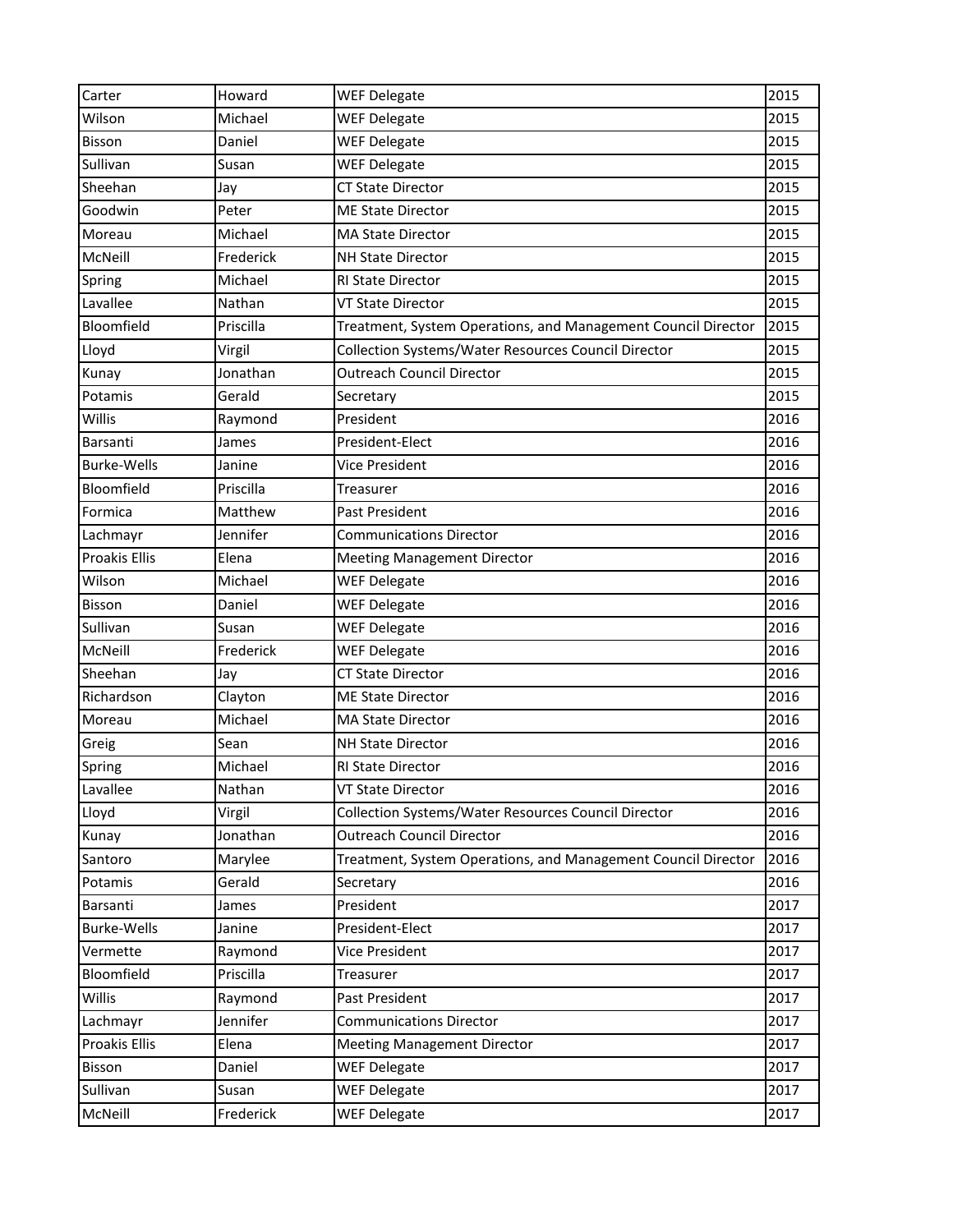| Carter               | Howard    | <b>WEF Delegate</b>                                           | 2015 |
|----------------------|-----------|---------------------------------------------------------------|------|
| Wilson               | Michael   | <b>WEF Delegate</b>                                           | 2015 |
| Bisson               | Daniel    | <b>WEF Delegate</b>                                           | 2015 |
| Sullivan             | Susan     | <b>WEF Delegate</b>                                           | 2015 |
| Sheehan              | Jay       | <b>CT State Director</b>                                      | 2015 |
| Goodwin              | Peter     | <b>ME State Director</b>                                      | 2015 |
| Moreau               | Michael   | <b>MA State Director</b>                                      | 2015 |
| McNeill              | Frederick | <b>NH State Director</b>                                      | 2015 |
| Spring               | Michael   | RI State Director                                             | 2015 |
| Lavallee             | Nathan    | <b>VT State Director</b>                                      | 2015 |
| Bloomfield           | Priscilla | Treatment, System Operations, and Management Council Director | 2015 |
| Lloyd                | Virgil    | Collection Systems/Water Resources Council Director           | 2015 |
| Kunay                | Jonathan  | <b>Outreach Council Director</b>                              | 2015 |
| Potamis              | Gerald    | Secretary                                                     | 2015 |
| Willis               | Raymond   | President                                                     | 2016 |
| Barsanti             | James     | President-Elect                                               | 2016 |
| <b>Burke-Wells</b>   | Janine    | <b>Vice President</b>                                         | 2016 |
| Bloomfield           | Priscilla | Treasurer                                                     | 2016 |
| Formica              | Matthew   | Past President                                                | 2016 |
| Lachmayr             | Jennifer  | <b>Communications Director</b>                                | 2016 |
| <b>Proakis Ellis</b> | Elena     | <b>Meeting Management Director</b>                            | 2016 |
| Wilson               | Michael   | <b>WEF Delegate</b>                                           | 2016 |
| Bisson               | Daniel    | <b>WEF Delegate</b>                                           | 2016 |
| Sullivan             | Susan     | <b>WEF Delegate</b>                                           | 2016 |
| McNeill              | Frederick | <b>WEF Delegate</b>                                           | 2016 |
| Sheehan              | Jay       | <b>CT State Director</b>                                      | 2016 |
| Richardson           | Clayton   | <b>ME State Director</b>                                      | 2016 |
| Moreau               | Michael   | <b>MA State Director</b>                                      | 2016 |
| Greig                | Sean      | <b>NH State Director</b>                                      | 2016 |
| Spring               | Michael   | <b>RI State Director</b>                                      | 2016 |
| Lavallee             | Nathan    | <b>VT State Director</b>                                      | 2016 |
| Lloyd                | Virgil    | Collection Systems/Water Resources Council Director           | 2016 |
| Kunay                | Jonathan  | <b>Outreach Council Director</b>                              | 2016 |
| Santoro              | Marylee   | Treatment, System Operations, and Management Council Director | 2016 |
| Potamis              | Gerald    | Secretary                                                     | 2016 |
| Barsanti             | James     | President                                                     | 2017 |
| <b>Burke-Wells</b>   | Janine    | President-Elect                                               | 2017 |
| Vermette             | Raymond   | Vice President                                                | 2017 |
| Bloomfield           | Priscilla | Treasurer                                                     | 2017 |
| Willis               | Raymond   | Past President                                                | 2017 |
| Lachmayr             | Jennifer  | <b>Communications Director</b>                                | 2017 |
| Proakis Ellis        | Elena     | <b>Meeting Management Director</b>                            | 2017 |
| Bisson               | Daniel    | <b>WEF Delegate</b>                                           | 2017 |
| Sullivan             | Susan     | <b>WEF Delegate</b>                                           | 2017 |
| McNeill              | Frederick | <b>WEF Delegate</b>                                           | 2017 |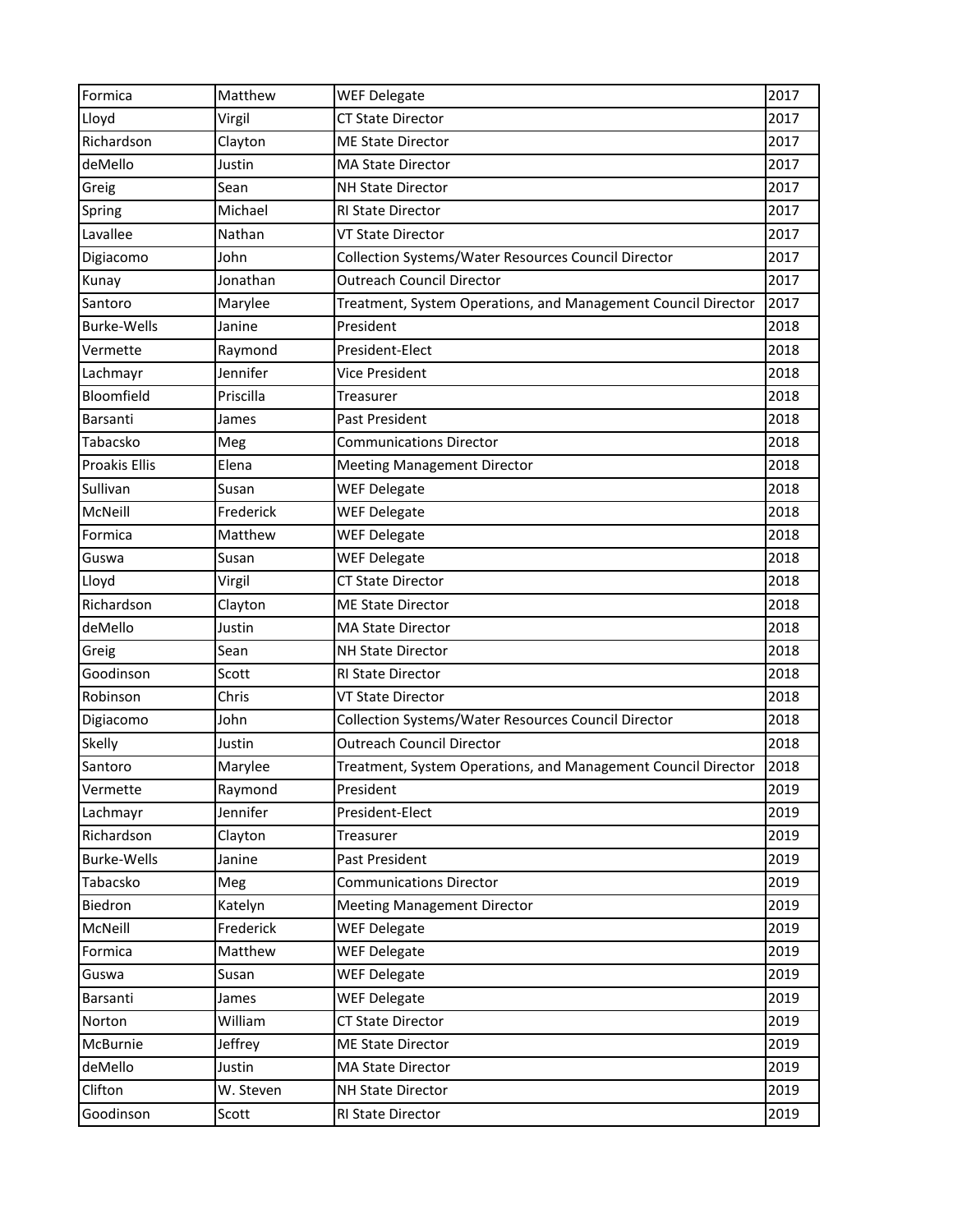| Formica              | Matthew   | <b>WEF Delegate</b>                                           | 2017 |
|----------------------|-----------|---------------------------------------------------------------|------|
| Lloyd                | Virgil    | <b>CT State Director</b>                                      | 2017 |
| Richardson           | Clayton   | <b>ME State Director</b>                                      | 2017 |
| deMello              | Justin    | <b>MA State Director</b>                                      | 2017 |
| Greig                | Sean      | <b>NH State Director</b>                                      | 2017 |
| Spring               | Michael   | <b>RI State Director</b>                                      | 2017 |
| Lavallee             | Nathan    | <b>VT State Director</b>                                      | 2017 |
| Digiacomo            | John      | Collection Systems/Water Resources Council Director           | 2017 |
| Kunay                | Jonathan  | <b>Outreach Council Director</b>                              | 2017 |
| Santoro              | Marylee   | Treatment, System Operations, and Management Council Director | 2017 |
| <b>Burke-Wells</b>   | Janine    | President                                                     | 2018 |
| Vermette             | Raymond   | President-Elect                                               | 2018 |
| Lachmayr             | Jennifer  | Vice President                                                | 2018 |
| Bloomfield           | Priscilla | Treasurer                                                     | 2018 |
| Barsanti             | James     | Past President                                                | 2018 |
| Tabacsko             | Meg       | <b>Communications Director</b>                                | 2018 |
| <b>Proakis Ellis</b> | Elena     | <b>Meeting Management Director</b>                            | 2018 |
| Sullivan             | Susan     | <b>WEF Delegate</b>                                           | 2018 |
| McNeill              | Frederick | <b>WEF Delegate</b>                                           | 2018 |
| Formica              | Matthew   | <b>WEF Delegate</b>                                           | 2018 |
| Guswa                | Susan     | <b>WEF Delegate</b>                                           | 2018 |
| Lloyd                | Virgil    | <b>CT State Director</b>                                      | 2018 |
| Richardson           | Clayton   | <b>ME State Director</b>                                      | 2018 |
| deMello              | Justin    | <b>MA State Director</b>                                      | 2018 |
| Greig                | Sean      | <b>NH State Director</b>                                      | 2018 |
| Goodinson            | Scott     | <b>RI State Director</b>                                      | 2018 |
| Robinson             | Chris     | <b>VT State Director</b>                                      | 2018 |
| Digiacomo            | John      | Collection Systems/Water Resources Council Director           | 2018 |
| Skelly               | Justin    | <b>Outreach Council Director</b>                              | 2018 |
| Santoro              | Marylee   | Treatment, System Operations, and Management Council Director | 2018 |
| Vermette             | Raymond   | President                                                     | 2019 |
| Lachmayr             | Jennifer  | President-Elect                                               | 2019 |
| Richardson           | Clayton   | Treasurer                                                     | 2019 |
| <b>Burke-Wells</b>   | Janine    | Past President                                                | 2019 |
| Tabacsko             | Meg       | <b>Communications Director</b>                                | 2019 |
| Biedron              | Katelyn   | <b>Meeting Management Director</b>                            | 2019 |
| McNeill              | Frederick | <b>WEF Delegate</b>                                           | 2019 |
| Formica              | Matthew   | <b>WEF Delegate</b>                                           | 2019 |
| Guswa                | Susan     | <b>WEF Delegate</b>                                           | 2019 |
| Barsanti             | James     | <b>WEF Delegate</b>                                           | 2019 |
| Norton               | William   | <b>CT State Director</b>                                      | 2019 |
| McBurnie             | Jeffrey   | <b>ME State Director</b>                                      | 2019 |
| deMello              | Justin    | <b>MA State Director</b>                                      | 2019 |
| Clifton              | W. Steven | NH State Director                                             | 2019 |
| Goodinson            | Scott     | RI State Director                                             | 2019 |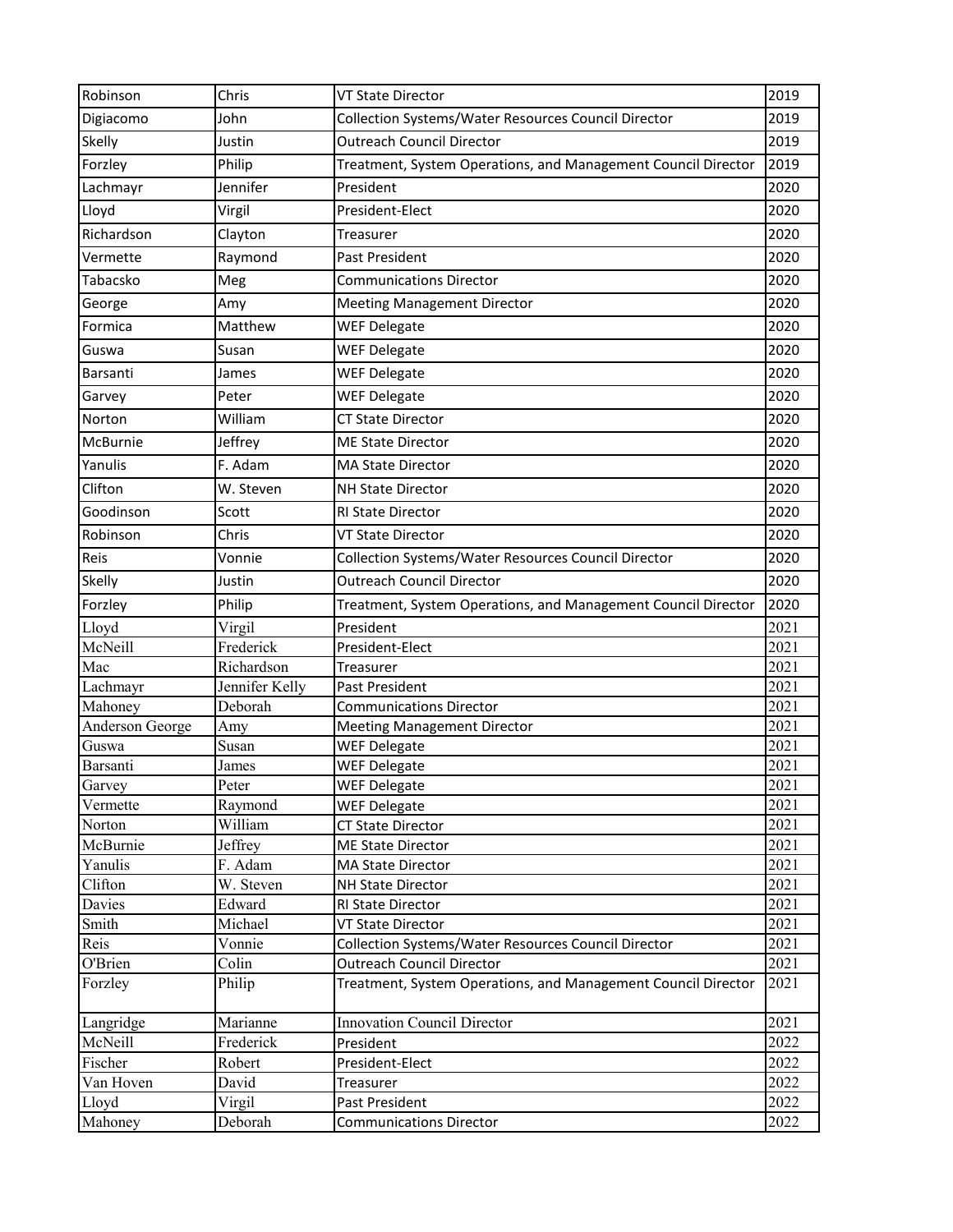| Robinson           | Chris          | <b>VT State Director</b>                                      | 2019         |
|--------------------|----------------|---------------------------------------------------------------|--------------|
| Digiacomo          | John           | Collection Systems/Water Resources Council Director           | 2019         |
| Skelly             | Justin         | <b>Outreach Council Director</b>                              | 2019         |
| Forzley            | Philip         | Treatment, System Operations, and Management Council Director | 2019         |
| Lachmayr           | Jennifer       | President                                                     | 2020         |
| Lloyd              | Virgil         | President-Elect                                               | 2020         |
| Richardson         | Clayton        | Treasurer                                                     | 2020         |
| Vermette           | Raymond        | Past President                                                | 2020         |
| Tabacsko           | Meg            | <b>Communications Director</b>                                | 2020         |
| George             | Amy            | <b>Meeting Management Director</b>                            | 2020         |
| Formica            | Matthew        | <b>WEF Delegate</b>                                           | 2020         |
| Guswa              | Susan          | <b>WEF Delegate</b>                                           | 2020         |
| Barsanti           | James          | <b>WEF Delegate</b>                                           | 2020         |
| Garvey             | Peter          | <b>WEF Delegate</b>                                           | 2020         |
| Norton             | William        | <b>CT State Director</b>                                      | 2020         |
| <b>McBurnie</b>    | Jeffrey        | <b>ME State Director</b>                                      | 2020         |
| Yanulis            | F. Adam        | <b>MA State Director</b>                                      | 2020         |
| Clifton            | W. Steven      | <b>NH State Director</b>                                      | 2020         |
|                    |                |                                                               |              |
| Goodinson          | Scott          | <b>RI State Director</b>                                      | 2020         |
| Robinson           | Chris          | <b>VT State Director</b>                                      | 2020         |
| Reis               | Vonnie         | Collection Systems/Water Resources Council Director           | 2020         |
| Skelly             | Justin         | <b>Outreach Council Director</b>                              | 2020         |
| Forzley            | Philip         | Treatment, System Operations, and Management Council Director | 2020         |
| Lloyd              | Virgil         | President                                                     | 2021         |
| McNeill            | Frederick      | President-Elect                                               | 2021         |
| Mac                | Richardson     | Treasurer                                                     | 2021         |
| Lachmayr           | Jennifer Kelly | Past President                                                | 2021         |
| Mahoney            | Deborah        | <b>Communications Director</b>                                | 2021         |
| Anderson George    | Amy            | <b>Meeting Management Director</b>                            | 2021         |
| Guswa              | Susan          | <b>WEF Delegate</b>                                           | 2021         |
| Barsanti<br>Garvey | James<br>Peter | <b>WEF Delegate</b><br><b>WEF Delegate</b>                    | 2021<br>2021 |
| Vermette           | Raymond        | <b>WEF Delegate</b>                                           | 2021         |
| Norton             | William        | <b>CT State Director</b>                                      | 2021         |
| McBurnie           | Jeffrey        | <b>ME State Director</b>                                      | 2021         |
| Yanulis            | F. Adam        | MA State Director                                             | 2021         |
| Clifton            | W. Steven      | NH State Director                                             | 2021         |
| Davies             | Edward         | RI State Director                                             | 2021         |
| Smith              | Michael        | VT State Director                                             | 2021         |
| Reis               | Vonnie         | Collection Systems/Water Resources Council Director           | 2021         |
| O'Brien            | Colin          | <b>Outreach Council Director</b>                              | 2021         |
| Forzley            | Philip         | Treatment, System Operations, and Management Council Director | 2021         |
| Langridge          | Marianne       | Innovation Council Director                                   | 2021         |
| McNeill            | Frederick      | President                                                     | 2022         |
| Fischer            | Robert         | President-Elect                                               | 2022         |
| Van Hoven          | David          | Treasurer                                                     | 2022         |
| Lloyd              | Virgil         | Past President                                                | 2022         |
| Mahoney            | Deborah        | <b>Communications Director</b>                                | 2022         |